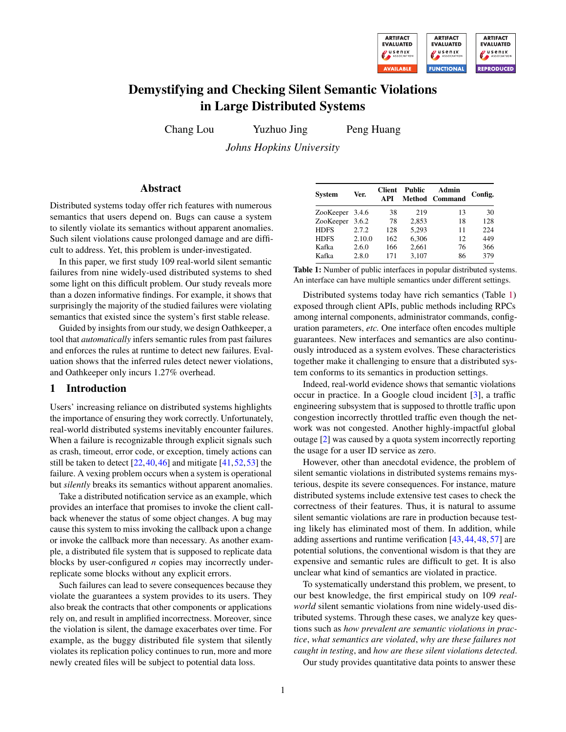

# Demystifying and Checking Silent Semantic Violations in Large Distributed Systems

Chang Lou Yuzhuo Jing Peng Huang

*Johns Hopkins University*

# Abstract

Distributed systems today offer rich features with numerous semantics that users depend on. Bugs can cause a system to silently violate its semantics without apparent anomalies. Such silent violations cause prolonged damage and are difficult to address. Yet, this problem is under-investigated.

In this paper, we first study 109 real-world silent semantic failures from nine widely-used distributed systems to shed some light on this difficult problem. Our study reveals more than a dozen informative findings. For example, it shows that surprisingly the majority of the studied failures were violating semantics that existed since the system's first stable release.

Guided by insights from our study, we design Oathkeeper, a tool that *automatically* infers semantic rules from past failures and enforces the rules at runtime to detect new failures. Evaluation shows that the inferred rules detect newer violations, and Oathkeeper only incurs 1.27% overhead.

## 1 Introduction

Users' increasing reliance on distributed systems highlights the importance of ensuring they work correctly. Unfortunately, real-world distributed systems inevitably encounter failures. When a failure is recognizable through explicit signals such as crash, timeout, error code, or exception, timely actions can still be taken to detect  $[22, 40, 46]$  $[22, 40, 46]$  $[22, 40, 46]$  $[22, 40, 46]$  $[22, 40, 46]$  and mitigate  $[41, 52, 53]$  $[41, 52, 53]$  $[41, 52, 53]$  $[41, 52, 53]$  $[41, 52, 53]$  the failure. A vexing problem occurs when a system is operational but *silently* breaks its semantics without apparent anomalies.

Take a distributed notification service as an example, which provides an interface that promises to invoke the client callback whenever the status of some object changes. A bug may cause this system to miss invoking the callback upon a change or invoke the callback more than necessary. As another example, a distributed file system that is supposed to replicate data blocks by user-configured *n* copies may incorrectly underreplicate some blocks without any explicit errors.

Such failures can lead to severe consequences because they violate the guarantees a system provides to its users. They also break the contracts that other components or applications rely on, and result in amplified incorrectness. Moreover, since the violation is silent, the damage exacerbates over time. For example, as the buggy distributed file system that silently violates its replication policy continues to run, more and more newly created files will be subject to potential data loss.

<span id="page-0-0"></span>

| <b>System</b>   | Ver.   | <b>Client</b><br>A PI | Public | Admin<br><b>Method</b> Command | Config. |
|-----------------|--------|-----------------------|--------|--------------------------------|---------|
| ZooKeeper 3.4.6 |        | 38                    | 219    | 13                             | 30      |
| ZooKeeper       | 3.6.2  | 78                    | 2.853  | 18                             | 128     |
| <b>HDFS</b>     | 2.7.2  | 128                   | 5,293  | 11                             | 224     |
| <b>HDFS</b>     | 2.10.0 | 162                   | 6,306  | 12                             | 449     |
| Kafka           | 2.6.0  | 166                   | 2.661  | 76                             | 366     |
| Kafka           | 2.8.0  | 171                   | 3,107  | 86                             | 379     |

Table 1: Number of public interfaces in popular distributed systems. An interface can have multiple semantics under different settings.

Distributed systems today have rich semantics (Table [1\)](#page-0-0) exposed through client APIs, public methods including RPCs among internal components, administrator commands, configuration parameters, *etc.* One interface often encodes multiple guarantees. New interfaces and semantics are also continuously introduced as a system evolves. These characteristics together make it challenging to ensure that a distributed system conforms to its semantics in production settings.

Indeed, real-world evidence shows that semantic violations occur in practice. In a Google cloud incident [\[3\]](#page-14-1), a traffic engineering subsystem that is supposed to throttle traffic upon congestion incorrectly throttled traffic even though the network was not congested. Another highly-impactful global outage [\[2\]](#page-14-2) was caused by a quota system incorrectly reporting the usage for a user ID service as zero.

However, other than anecdotal evidence, the problem of silent semantic violations in distributed systems remains mysterious, despite its severe consequences. For instance, mature distributed systems include extensive test cases to check the correctness of their features. Thus, it is natural to assume silent semantic violations are rare in production because testing likely has eliminated most of them. In addition, while adding assertions and runtime verification [\[43,](#page-15-5) [44,](#page-15-6) [48,](#page-15-7) [57\]](#page-16-0) are potential solutions, the conventional wisdom is that they are expensive and semantic rules are difficult to get. It is also unclear what kind of semantics are violated in practice.

To systematically understand this problem, we present, to our best knowledge, the first empirical study on 109 *realworld* silent semantic violations from nine widely-used distributed systems. Through these cases, we analyze key questions such as *how prevalent are semantic violations in practice*, *what semantics are violated*, *why are these failures not caught in testing*, and *how are these silent violations detected*.

Our study provides quantitative data points to answer these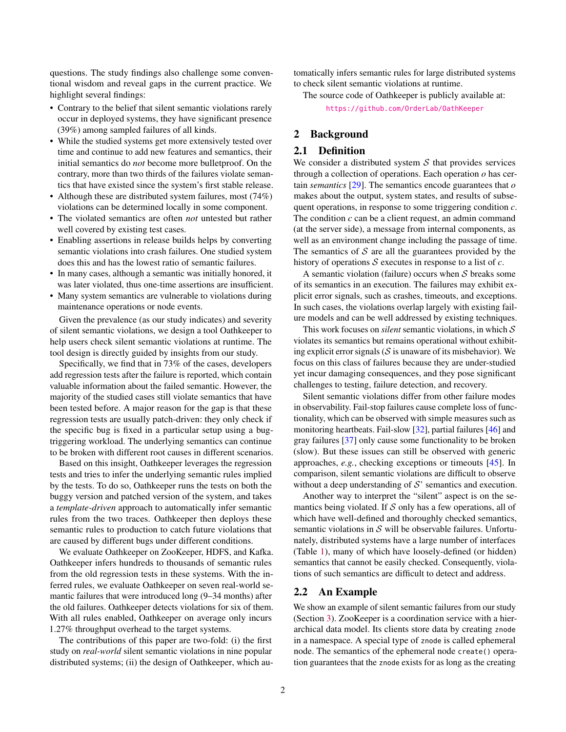questions. The study findings also challenge some conventional wisdom and reveal gaps in the current practice. We highlight several findings:

- Contrary to the belief that silent semantic violations rarely occur in deployed systems, they have significant presence (39%) among sampled failures of all kinds.
- While the studied systems get more extensively tested over time and continue to add new features and semantics, their initial semantics do *not* become more bulletproof. On the contrary, more than two thirds of the failures violate semantics that have existed since the system's first stable release.
- Although these are distributed system failures, most (74%) violations can be determined locally in some component.
- The violated semantics are often *not* untested but rather well covered by existing test cases.
- Enabling assertions in release builds helps by converting semantic violations into crash failures. One studied system does this and has the lowest ratio of semantic failures.
- In many cases, although a semantic was initially honored, it was later violated, thus one-time assertions are insufficient.
- Many system semantics are vulnerable to violations during maintenance operations or node events.

Given the prevalence (as our study indicates) and severity of silent semantic violations, we design a tool Oathkeeper to help users check silent semantic violations at runtime. The tool design is directly guided by insights from our study.

Specifically, we find that in 73% of the cases, developers add regression tests after the failure is reported, which contain valuable information about the failed semantic. However, the majority of the studied cases still violate semantics that have been tested before. A major reason for the gap is that these regression tests are usually patch-driven: they only check if the specific bug is fixed in a particular setup using a bugtriggering workload. The underlying semantics can continue to be broken with different root causes in different scenarios.

Based on this insight, Oathkeeper leverages the regression tests and tries to infer the underlying semantic rules implied by the tests. To do so, Oathkeeper runs the tests on both the buggy version and patched version of the system, and takes a *template-driven* approach to automatically infer semantic rules from the two traces. Oathkeeper then deploys these semantic rules to production to catch future violations that are caused by different bugs under different conditions.

We evaluate Oathkeeper on ZooKeeper, HDFS, and Kafka. Oathkeeper infers hundreds to thousands of semantic rules from the old regression tests in these systems. With the inferred rules, we evaluate Oathkeeper on seven real-world semantic failures that were introduced long (9–34 months) after the old failures. Oathkeeper detects violations for six of them. With all rules enabled, Oathkeeper on average only incurs 1.27% throughput overhead to the target systems.

The contributions of this paper are two-fold: (i) the first study on *real-world* silent semantic violations in nine popular distributed systems; (ii) the design of Oathkeeper, which automatically infers semantic rules for large distributed systems to check silent semantic violations at runtime.

The source code of Oathkeeper is publicly available at: <https://github.com/OrderLab/OathKeeper>

## 2 Background

#### 2.1 Definition

We consider a distributed system  $S$  that provides services through a collection of operations. Each operation *o* has certain *semantics* [\[29\]](#page-14-3). The semantics encode guarantees that *o* makes about the output, system states, and results of subsequent operations, in response to some triggering condition *c*. The condition *c* can be a client request, an admin command (at the server side), a message from internal components, as well as an environment change including the passage of time. The semantics of  $S$  are all the guarantees provided by the history of operations S executes in response to a list of *c*.

A semantic violation (failure) occurs when  $S$  breaks some of its semantics in an execution. The failures may exhibit explicit error signals, such as crashes, timeouts, and exceptions. In such cases, the violations overlap largely with existing failure models and can be well addressed by existing techniques.

This work focuses on *silent* semantic violations, in which S violates its semantics but remains operational without exhibiting explicit error signals  $(S$  is unaware of its misbehavior). We focus on this class of failures because they are under-studied yet incur damaging consequences, and they pose significant challenges to testing, failure detection, and recovery.

Silent semantic violations differ from other failure modes in observability. Fail-stop failures cause complete loss of functionality, which can be observed with simple measures such as monitoring heartbeats. Fail-slow [\[32\]](#page-15-8), partial failures [\[46\]](#page-15-1) and gray failures [\[37\]](#page-15-9) only cause some functionality to be broken (slow). But these issues can still be observed with generic approaches, *e.g.*, checking exceptions or timeouts [\[45\]](#page-15-10). In comparison, silent semantic violations are difficult to observe without a deep understanding of  $S'$  semantics and execution.

Another way to interpret the "silent" aspect is on the semantics being violated. If  $S$  only has a few operations, all of which have well-defined and thoroughly checked semantics, semantic violations in  $S$  will be observable failures. Unfortunately, distributed systems have a large number of interfaces (Table [1\)](#page-0-0), many of which have loosely-defined (or hidden) semantics that cannot be easily checked. Consequently, violations of such semantics are difficult to detect and address.

#### <span id="page-1-0"></span>2.2 An Example

We show an example of silent semantic failures from our study (Section [3\)](#page-2-0). ZooKeeper is a coordination service with a hierarchical data model. Its clients store data by creating znode in a namespace. A special type of znode is called ephemeral node. The semantics of the ephemeral node create() operation guarantees that the znode exists for as long as the creating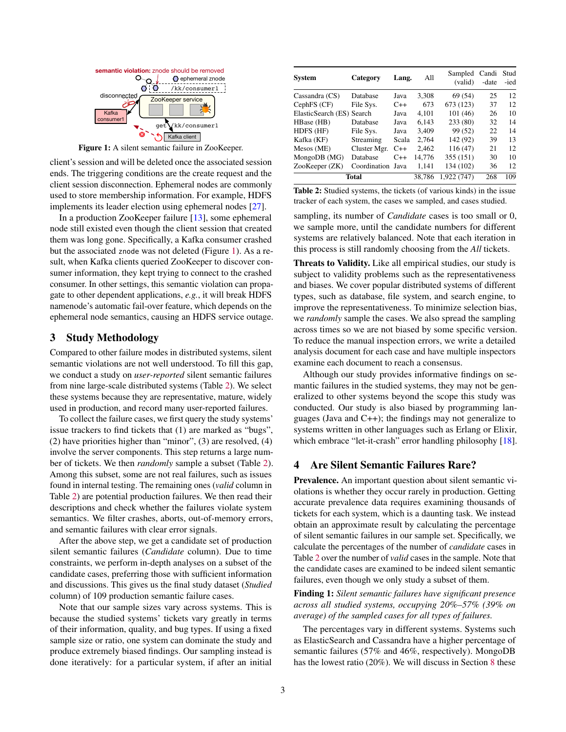<span id="page-2-1"></span>

Figure 1: A silent semantic failure in ZooKeeper.

client's session and will be deleted once the associated session ends. The triggering conditions are the create request and the client session disconnection. Ephemeral nodes are commonly used to store membership information. For example, HDFS implements its leader election using ephemeral nodes [\[27\]](#page-14-4).

In a production ZooKeeper failure [\[13\]](#page-14-5), some ephemeral node still existed even though the client session that created them was long gone. Specifically, a Kafka consumer crashed but the associated znode was not deleted (Figure [1\)](#page-2-1). As a result, when Kafka clients queried ZooKeeper to discover consumer information, they kept trying to connect to the crashed consumer. In other settings, this semantic violation can propagate to other dependent applications, *e.g.*, it will break HDFS namenode's automatic fail-over feature, which depends on the ephemeral node semantics, causing an HDFS service outage.

## <span id="page-2-0"></span>3 Study Methodology

Compared to other failure modes in distributed systems, silent semantic violations are not well understood. To fill this gap, we conduct a study on *user-reported* silent semantic failures from nine large-scale distributed systems (Table [2\)](#page-2-2). We select these systems because they are representative, mature, widely used in production, and record many user-reported failures.

To collect the failure cases, we first query the study systems' issue trackers to find tickets that (1) are marked as "bugs", (2) have priorities higher than "minor", (3) are resolved, (4) involve the server components. This step returns a large number of tickets. We then *randomly* sample a subset (Table [2\)](#page-2-2). Among this subset, some are not real failures, such as issues found in internal testing. The remaining ones (*valid* column in Table [2\)](#page-2-2) are potential production failures. We then read their descriptions and check whether the failures violate system semantics. We filter crashes, aborts, out-of-memory errors, and semantic failures with clear error signals.

After the above step, we get a candidate set of production silent semantic failures (*Candidate* column). Due to time constraints, we perform in-depth analyses on a subset of the candidate cases, preferring those with sufficient information and discussions. This gives us the final study dataset (*Studied* column) of 109 production semantic failure cases.

Note that our sample sizes vary across systems. This is because the studied systems' tickets vary greatly in terms of their information, quality, and bug types. If using a fixed sample size or ratio, one system can dominate the study and produce extremely biased findings. Our sampling instead is done iteratively: for a particular system, if after an initial

<span id="page-2-2"></span>

| <b>System</b>             | Category          | Lang.       | All    | Sampled<br>(valid) | Candi<br>-date | Stud<br>-ied |
|---------------------------|-------------------|-------------|--------|--------------------|----------------|--------------|
| Cassandra (CS)            | Database          | Java        | 3,308  | 69 (54)            | 25             | 12.          |
| CephFS (CF)               | File Sys.         | $C++$       | 673    | 673 (123)          | 37             | 12           |
| ElasticSearch (ES) Search |                   | Java        | 4,101  | 101 (46)           | 26             | 10           |
| HBase (HB)                | Database          | Java        | 6.143  | 233 (80)           | 32             | 14           |
| HDFS (HF)                 | File Sys.         | Java        | 3.409  | 99 (52)            | 22.            | 14           |
| Kafka (KF)                | Streaming         | Scala       | 2.764  | 142 (92)           | 39             | 13           |
| Mesos (ME)                | Cluster Mgr.      | $C++$       | 2,462  | 116(47)            | 21             | 12           |
| MongoDB (MG)              | Database          | $C++$       | 14.776 | 355 (151)          | 30             | 10           |
| ZooKeeper (ZK)            | Coordination Java |             | 1.141  | 134 (102)          | 36             | 12           |
| Total                     | 38.786            | 1.922 (747) | 268    | 109                |                |              |

Table 2: Studied systems, the tickets (of various kinds) in the issue tracker of each system, the cases we sampled, and cases studied.

sampling, its number of *Candidate* cases is too small or 0, we sample more, until the candidate numbers for different systems are relatively balanced. Note that each iteration in this process is still randomly choosing from the *All* tickets.

Threats to Validity. Like all empirical studies, our study is subject to validity problems such as the representativeness and biases. We cover popular distributed systems of different types, such as database, file system, and search engine, to improve the representativeness. To minimize selection bias, we *randomly* sample the cases. We also spread the sampling across times so we are not biased by some specific version. To reduce the manual inspection errors, we write a detailed analysis document for each case and have multiple inspectors examine each document to reach a consensus.

Although our study provides informative findings on semantic failures in the studied systems, they may not be generalized to other systems beyond the scope this study was conducted. Our study is also biased by programming languages (Java and C++); the findings may not generalize to systems written in other languages such as Erlang or Elixir, which embrace "let-it-crash" error handling philosophy [\[18\]](#page-14-6).

## <span id="page-2-3"></span>4 Are Silent Semantic Failures Rare?

Prevalence. An important question about silent semantic violations is whether they occur rarely in production. Getting accurate prevalence data requires examining thousands of tickets for each system, which is a daunting task. We instead obtain an approximate result by calculating the percentage of silent semantic failures in our sample set. Specifically, we calculate the percentages of the number of *candidate* cases in Table [2](#page-2-2) over the number of *valid* cases in the sample. Note that the candidate cases are examined to be indeed silent semantic failures, even though we only study a subset of them.

Finding 1: *Silent semantic failures have significant presence across all studied systems, occupying 20%–57% (39% on average) of the sampled cases for all types of failures.*

The percentages vary in different systems. Systems such as ElasticSearch and Cassandra have a higher percentage of semantic failures (57% and 46%, respectively). MongoDB has the lowest ratio (20%). We will discuss in Section [8](#page-6-0) these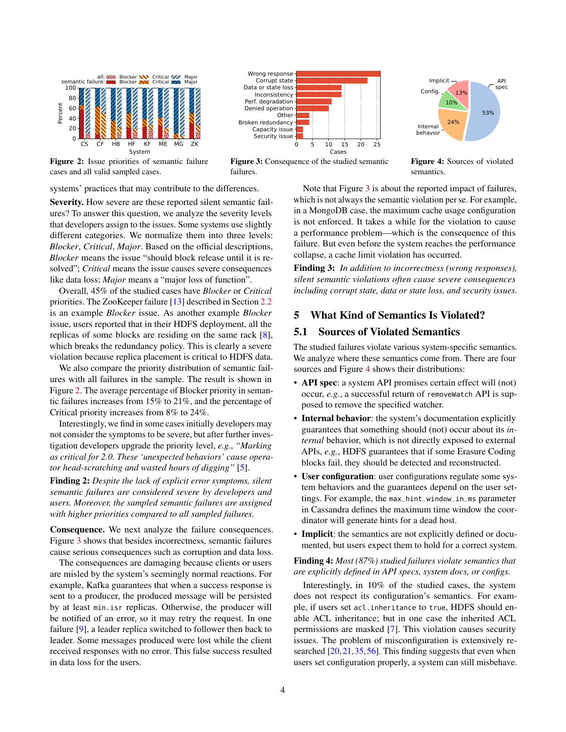<span id="page-3-0"></span>

Figure 2: Issue priorities of semantic failure cases and all valid sampled cases.



Figure 3: Consequence of the studied semantic failures.



Figure 4: Sources of violated semantics.

systems' practices that may contribute to the differences.

Severity. How severe are these reported silent semantic failures? To answer this question, we analyze the severity levels that developers assign to the issues. Some systems use slightly different categories. We normalize them into three levels: *Blocker*, *Critical*, *Major*. Based on the official descriptions, *Blocker* means the issue "should block release until it is resolved"; *Critical* means the issue causes severe consequences like data loss; *Major* means a "major loss of function".

Overall, 45% of the studied cases have *Blocker* or *Critical* priorities. The ZooKeeper failure [\[13\]](#page-14-5) described in Section [2.2](#page-1-0) is an example *Blocker* issue. As another example *Blocker* issue, users reported that in their HDFS deployment, all the replicas of some blocks are residing on the same rack [\[8\]](#page-14-7), which breaks the redundancy policy. This is clearly a severe violation because replica placement is critical to HDFS data.

We also compare the priority distribution of semantic failures with all failures in the sample. The result is shown in Figure [2.](#page-3-0) The average percentage of Blocker priority in semantic failures increases from 15% to 21%, and the percentage of Critical priority increases from 8% to 24%.

Interestingly, we find in some cases initially developers may not consider the symptoms to be severe, but after further investigation developers upgrade the priority level, *e.g.*, *"Marking as critical for 2.0. These 'unexpected behaviors' cause operator head-scratching and wasted hours of digging"* [\[5\]](#page-14-8).

Finding 2: *Despite the lack of explicit error symptoms, silent semantic failures are considered severe by developers and users. Moreover, the sampled semantic failures are assigned with higher priorities compared to all sampled failures.*

Consequence. We next analyze the failure consequences. Figure [3](#page-3-0) shows that besides incorrectness, semantic failures cause serious consequences such as corruption and data loss.

The consequences are damaging because clients or users are misled by the system's seemingly normal reactions. For example, Kafka guarantees that when a success response is sent to a producer, the produced message will be persisted by at least min.isr replicas. Otherwise, the producer will be notified of an error, so it may retry the request. In one failure [\[9\]](#page-14-9), a leader replica switched to follower then back to leader. Some messages produced were lost while the client received responses with no error. This false success resulted in data loss for the users.

Note that Figure [3](#page-3-0) is about the reported impact of failures, which is not always the semantic violation per se. For example, in a MongoDB case, the maximum cache usage configuration is not enforced. It takes a while for the violation to cause a performance problem—which is the consequence of this failure. But even before the system reaches the performance collapse, a cache limit violation has occurred.

Finding 3: *In addition to incorrectness (wrong responses), silent semantic violations often cause severe consequences including corrupt state, data or state loss, and security issues.*

# 5 What Kind of Semantics Is Violated?

## 5.1 Sources of Violated Semantics

The studied failures violate various system-specific semantics. We analyze where these semantics come from. There are four sources and Figure [4](#page-3-0) shows their distributions:

- API spec: a system API promises certain effect will (not) occur, *e.g.*, a successful return of removeWatch API is supposed to remove the specified watcher.
- Internal behavior: the system's documentation explicitly guarantees that something should (not) occur about its *internal* behavior, which is not directly exposed to external APIs, *e.g.*, HDFS guarantees that if some Erasure Coding blocks fail, they should be detected and reconstructed.
- User configuration: user configurations regulate some system behaviors and the guarantees depend on the user settings. For example, the max\_hint\_window\_in\_ms parameter in Cassandra defines the maximum time window the coordinator will generate hints for a dead host.
- Implicit: the semantics are not explicitly defined or documented, but users expect them to hold for a correct system.

#### Finding 4: *Most (87%) studied failures violate semantics that are explicitly defined in API specs, system docs, or configs.*

Interestingly, in 10% of the studied cases, the system does not respect its configuration's semantics. For example, if users set acl.inheritance to true, HDFS should enable ACL inheritance; but in one case the inherited ACL permissions are masked [\[7\]](#page-14-10). This violation causes security issues. The problem of misconfiguration is extensively researched  $[20, 21, 35, 56]$  $[20, 21, 35, 56]$  $[20, 21, 35, 56]$  $[20, 21, 35, 56]$  $[20, 21, 35, 56]$  $[20, 21, 35, 56]$  $[20, 21, 35, 56]$ . This finding suggests that even when users set configuration properly, a system can still misbehave.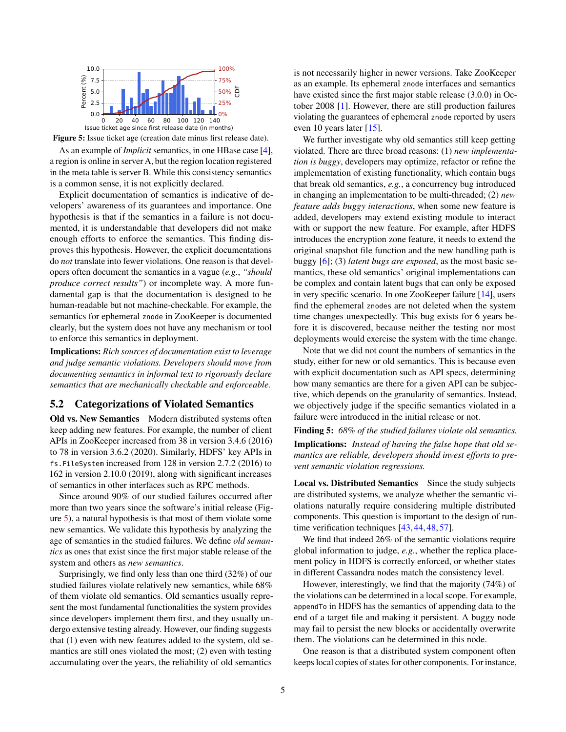<span id="page-4-0"></span>

Figure 5: Issue ticket age (creation date minus first release date).

As an example of *Implicit* semantics, in one HBase case [\[4\]](#page-14-13), a region is online in server A, but the region location registered in the meta table is server B. While this consistency semantics is a common sense, it is not explicitly declared.

Explicit documentation of semantics is indicative of developers' awareness of its guarantees and importance. One hypothesis is that if the semantics in a failure is not documented, it is understandable that developers did not make enough efforts to enforce the semantics. This finding disproves this hypothesis. However, the explicit documentations do *not* translate into fewer violations. One reason is that developers often document the semantics in a vague (*e.g.*, *"should produce correct results"*) or incomplete way. A more fundamental gap is that the documentation is designed to be human-readable but not machine-checkable. For example, the semantics for ephemeral znode in ZooKeeper is documented clearly, but the system does not have any mechanism or tool to enforce this semantics in deployment.

Implications: *Rich sources of documentation exist to leverage and judge semantic violations. Developers should move from documenting semantics in informal text to rigorously declare semantics that are mechanically checkable and enforceable.*

#### 5.2 Categorizations of Violated Semantics

Old vs. New Semantics Modern distributed systems often keep adding new features. For example, the number of client APIs in ZooKeeper increased from 38 in version 3.4.6 (2016) to 78 in version 3.6.2 (2020). Similarly, HDFS' key APIs in fs.FileSystem increased from 128 in version 2.7.2 (2016) to 162 in version 2.10.0 (2019), along with significant increases of semantics in other interfaces such as RPC methods.

Since around 90% of our studied failures occurred after more than two years since the software's initial release (Figure [5\)](#page-4-0), a natural hypothesis is that most of them violate some new semantics. We validate this hypothesis by analyzing the age of semantics in the studied failures. We define *old semantics* as ones that exist since the first major stable release of the system and others as *new semantics*.

Surprisingly, we find only less than one third (32%) of our studied failures violate relatively new semantics, while 68% of them violate old semantics. Old semantics usually represent the most fundamental functionalities the system provides since developers implement them first, and they usually undergo extensive testing already. However, our finding suggests that (1) even with new features added to the system, old semantics are still ones violated the most; (2) even with testing accumulating over the years, the reliability of old semantics

is not necessarily higher in newer versions. Take ZooKeeper as an example. Its ephemeral znode interfaces and semantics have existed since the first major stable release (3.0.0) in October 2008 [\[1\]](#page-14-14). However, there are still production failures violating the guarantees of ephemeral znode reported by users even 10 years later [\[15\]](#page-14-15).

We further investigate why old semantics still keep getting violated. There are three broad reasons: (1) *new implementation is buggy*, developers may optimize, refactor or refine the implementation of existing functionality, which contain bugs that break old semantics, *e.g.*, a concurrency bug introduced in changing an implementation to be multi-threaded; (2) *new feature adds buggy interactions*, when some new feature is added, developers may extend existing module to interact with or support the new feature. For example, after HDFS introduces the encryption zone feature, it needs to extend the original snapshot file function and the new handling path is buggy [\[6\]](#page-14-16); (3) *latent bugs are exposed*, as the most basic semantics, these old semantics' original implementations can be complex and contain latent bugs that can only be exposed in very specific scenario. In one ZooKeeper failure [\[14\]](#page-14-17), users find the ephemeral znodes are not deleted when the system time changes unexpectedly. This bug exists for 6 years before it is discovered, because neither the testing nor most deployments would exercise the system with the time change.

Note that we did not count the numbers of semantics in the study, either for new or old semantics. This is because even with explicit documentation such as API specs, determining how many semantics are there for a given API can be subjective, which depends on the granularity of semantics. Instead, we objectively judge if the specific semantics violated in a failure were introduced in the initial release or not.

<span id="page-4-1"></span>Finding 5: *68% of the studied failures violate old semantics.* Implications: *Instead of having the false hope that old semantics are reliable, developers should invest efforts to prevent semantic violation regressions.*

Local vs. Distributed Semantics Since the study subjects are distributed systems, we analyze whether the semantic violations naturally require considering multiple distributed components. This question is important to the design of run-time verification techniques [\[43,](#page-15-5) [44,](#page-15-6) [48,](#page-15-7) [57\]](#page-16-0).

We find that indeed 26% of the semantic violations require global information to judge, *e.g.*, whether the replica placement policy in HDFS is correctly enforced, or whether states in different Cassandra nodes match the consistency level.

However, interestingly, we find that the majority (74%) of the violations can be determined in a local scope. For example, appendTo in HDFS has the semantics of appending data to the end of a target file and making it persistent. A buggy node may fail to persist the new blocks or accidentally overwrite them. The violations can be determined in this node.

One reason is that a distributed system component often keeps local copies of states for other components. For instance,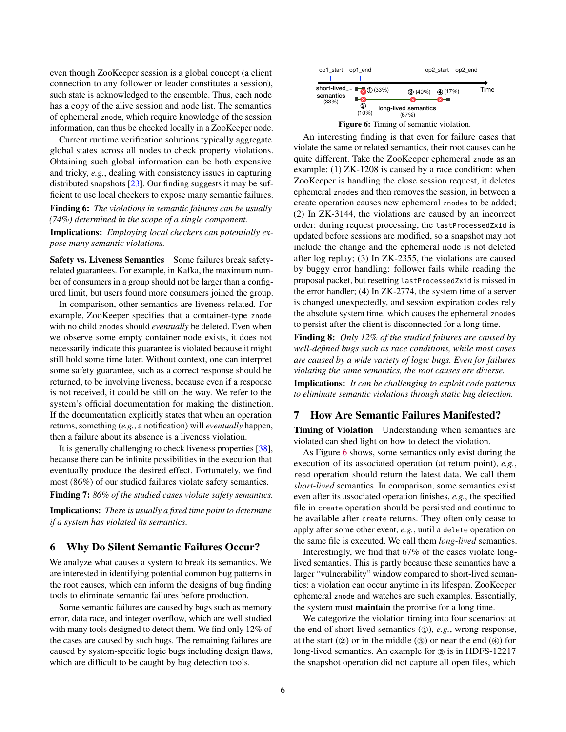even though ZooKeeper session is a global concept (a client connection to any follower or leader constitutes a session), such state is acknowledged to the ensemble. Thus, each node has a copy of the alive session and node list. The semantics of ephemeral znode, which require knowledge of the session information, can thus be checked locally in a ZooKeeper node.

Current runtime verification solutions typically aggregate global states across all nodes to check property violations. Obtaining such global information can be both expensive and tricky, *e.g.*, dealing with consistency issues in capturing distributed snapshots [\[23\]](#page-14-18). Our finding suggests it may be sufficient to use local checkers to expose many semantic failures.

Finding 6: *The violations in semantic failures can be usually (74%) determined in the scope of a single component.*

Implications: *Employing local checkers can potentially expose many semantic violations.*

Safety vs. Liveness Semantics Some failures break safetyrelated guarantees. For example, in Kafka, the maximum number of consumers in a group should not be larger than a configured limit, but users found more consumers joined the group.

In comparison, other semantics are liveness related. For example, ZooKeeper specifies that a container-type znode with no child znodes should *eventually* be deleted. Even when we observe some empty container node exists, it does not necessarily indicate this guarantee is violated because it might still hold some time later. Without context, one can interpret some safety guarantee, such as a correct response should be returned, to be involving liveness, because even if a response is not received, it could be still on the way. We refer to the system's official documentation for making the distinction. If the documentation explicitly states that when an operation returns, something (*e.g.*, a notification) will *eventually* happen, then a failure about its absence is a liveness violation.

It is generally challenging to check liveness properties [\[38\]](#page-15-12), because there can be infinite possibilities in the execution that eventually produce the desired effect. Fortunately, we find most (86%) of our studied failures violate safety semantics.

Finding 7: *86% of the studied cases violate safety semantics.*

Implications: *There is usually a fixed time point to determine if a system has violated its semantics.*

#### <span id="page-5-1"></span>6 Why Do Silent Semantic Failures Occur?

We analyze what causes a system to break its semantics. We are interested in identifying potential common bug patterns in the root causes, which can inform the designs of bug finding tools to eliminate semantic failures before production.

Some semantic failures are caused by bugs such as memory error, data race, and integer overflow, which are well studied with many tools designed to detect them. We find only 12% of the cases are caused by such bugs. The remaining failures are caused by system-specific logic bugs including design flaws, which are difficult to be caught by bug detection tools.

<span id="page-5-0"></span>

An interesting finding is that even for failure cases that violate the same or related semantics, their root causes can be quite different. Take the ZooKeeper ephemeral znode as an example: (1) ZK-1208 is caused by a race condition: when ZooKeeper is handling the close session request, it deletes ephemeral znodes and then removes the session, in between a create operation causes new ephemeral znodes to be added; (2) In ZK-3144, the violations are caused by an incorrect order: during request processing, the lastProcessedZxid is updated before sessions are modified, so a snapshot may not include the change and the ephemeral node is not deleted after log replay; (3) In ZK-2355, the violations are caused by buggy error handling: follower fails while reading the proposal packet, but resetting lastProcessedZxid is missed in the error handler; (4) In ZK-2774, the system time of a server is changed unexpectedly, and session expiration codes rely the absolute system time, which causes the ephemeral znodes to persist after the client is disconnected for a long time.

<span id="page-5-3"></span>Finding 8: *Only 12% of the studied failures are caused by well-defined bugs such as race conditions, while most cases are caused by a wide variety of logic bugs. Even for failures violating the same semantics, the root causes are diverse.* Implications: *It can be challenging to exploit code patterns to eliminate semantic violations through static bug detection.*

#### <span id="page-5-2"></span>7 How Are Semantic Failures Manifested?

Timing of Violation Understanding when semantics are violated can shed light on how to detect the violation.

As Figure [6](#page-5-0) shows, some semantics only exist during the execution of its associated operation (at return point), *e.g.*, read operation should return the latest data. We call them *short-lived* semantics. In comparison, some semantics exist even after its associated operation finishes, *e.g.*, the specified file in create operation should be persisted and continue to be available after create returns. They often only cease to apply after some other event, *e.g.*, until a delete operation on the same file is executed. We call them *long-lived* semantics.

Interestingly, we find that 67% of the cases violate longlived semantics. This is partly because these semantics have a larger "vulnerability" window compared to short-lived semantics: a violation can occur anytime in its lifespan. ZooKeeper ephemeral znode and watches are such examples. Essentially, the system must maintain the promise for a long time.

We categorize the violation timing into four scenarios: at the end of short-lived semantics (①), *e.g.*, wrong response, at the start  $(2)$  or in the middle  $(3)$  or near the end  $(4)$  for long-lived semantics. An example for ② is in HDFS-12217 the snapshot operation did not capture all open files, which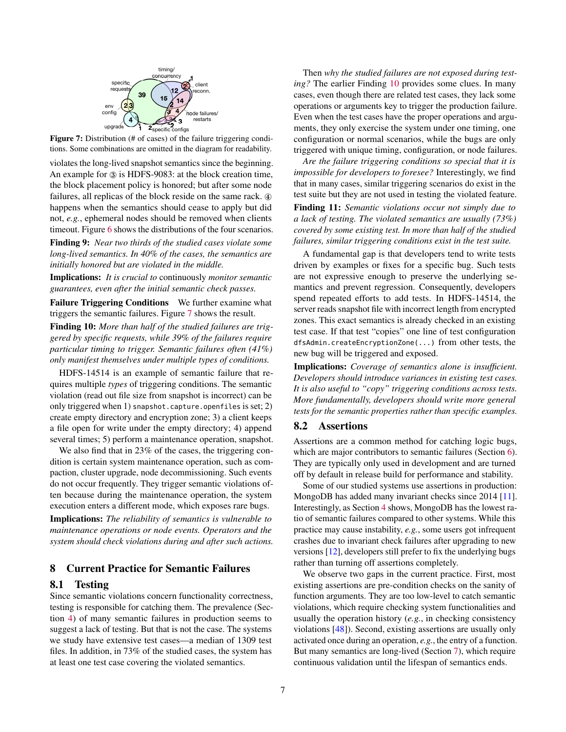<span id="page-6-1"></span>

Figure 7: Distribution (# of cases) of the failure triggering conditions. Some combinations are omitted in the diagram for readability.

violates the long-lived snapshot semantics since the beginning. An example for ③ is HDFS-9083: at the block creation time, the block placement policy is honored; but after some node failures, all replicas of the block reside on the same rack.  $\Phi$ happens when the semantics should cease to apply but did not, *e.g.*, ephemeral nodes should be removed when clients timeout. Figure [6](#page-5-0) shows the distributions of the four scenarios.

Finding 9: *Near two thirds of the studied cases violate some long-lived semantics. In 40% of the cases, the semantics are initially honored but are violated in the middle.*

Implications: *It is crucial to* continuously *monitor semantic guarantees, even after the initial semantic check passes.*

Failure Triggering Conditions We further examine what triggers the semantic failures. Figure [7](#page-6-1) shows the result.

<span id="page-6-2"></span>Finding 10: *More than half of the studied failures are triggered by specific requests, while 39% of the failures require particular timing to trigger. Semantic failures often (41%) only manifest themselves under multiple types of conditions.*

HDFS-14514 is an example of semantic failure that requires multiple *types* of triggering conditions. The semantic violation (read out file size from snapshot is incorrect) can be only triggered when 1) snapshot.capture.openfiles is set; 2) create empty directory and encryption zone; 3) a client keeps a file open for write under the empty directory; 4) append several times; 5) perform a maintenance operation, snapshot.

We also find that in 23% of the cases, the triggering condition is certain system maintenance operation, such as compaction, cluster upgrade, node decommissioning. Such events do not occur frequently. They trigger semantic violations often because during the maintenance operation, the system execution enters a different mode, which exposes rare bugs.

Implications: *The reliability of semantics is vulnerable to maintenance operations or node events. Operators and the system should check violations during and after such actions.*

## <span id="page-6-0"></span>8 Current Practice for Semantic Failures

#### 8.1 Testing

Since semantic violations concern functionality correctness, testing is responsible for catching them. The prevalence (Section [4\)](#page-2-3) of many semantic failures in production seems to suggest a lack of testing. But that is not the case. The systems we study have extensive test cases—a median of 1309 test files. In addition, in 73% of the studied cases, the system has at least one test case covering the violated semantics.

Then *why the studied failures are not exposed during testing?* The earlier Finding [10](#page-6-2) provides some clues. In many cases, even though there are related test cases, they lack some operations or arguments key to trigger the production failure. Even when the test cases have the proper operations and arguments, they only exercise the system under one timing, one configuration or normal scenarios, while the bugs are only triggered with unique timing, configuration, or node failures.

*Are the failure triggering conditions so special that it is impossible for developers to foresee?* Interestingly, we find that in many cases, similar triggering scenarios do exist in the test suite but they are not used in testing the violated feature.

Finding 11: *Semantic violations occur not simply due to a lack of testing. The violated semantics are usually (73%) covered by some existing test. In more than half of the studied failures, similar triggering conditions exist in the test suite.*

A fundamental gap is that developers tend to write tests driven by examples or fixes for a specific bug. Such tests are not expressive enough to preserve the underlying semantics and prevent regression. Consequently, developers spend repeated efforts to add tests. In HDFS-14514, the server reads snapshot file with incorrect length from encrypted zones. This exact semantics is already checked in an existing test case. If that test "copies" one line of test configuration dfsAdmin.createEncryptionZone(...) from other tests, the new bug will be triggered and exposed.

Implications: *Coverage of semantics alone is insufficient. Developers should introduce variances in existing test cases. It is also useful to "copy" triggering conditions across tests. More fundamentally, developers should write more general tests for the semantic properties rather than specific examples.*

#### 8.2 Assertions

Assertions are a common method for catching logic bugs, which are major contributors to semantic failures (Section [6\)](#page-5-1). They are typically only used in development and are turned off by default in release build for performance and stability.

Some of our studied systems use assertions in production: MongoDB has added many invariant checks since 2014 [\[11\]](#page-14-19). Interestingly, as Section [4](#page-2-3) shows, MongoDB has the lowest ratio of semantic failures compared to other systems. While this practice may cause instability, *e.g.*, some users got infrequent crashes due to invariant check failures after upgrading to new versions [\[12\]](#page-14-20), developers still prefer to fix the underlying bugs rather than turning off assertions completely.

We observe two gaps in the current practice. First, most existing assertions are pre-condition checks on the sanity of function arguments. They are too low-level to catch semantic violations, which require checking system functionalities and usually the operation history (*e.g.*, in checking consistency violations [\[48\]](#page-15-7)). Second, existing assertions are usually only activated once during an operation, *e.g.*, the entry of a function. But many semantics are long-lived (Section [7\)](#page-5-2), which require continuous validation until the lifespan of semantics ends.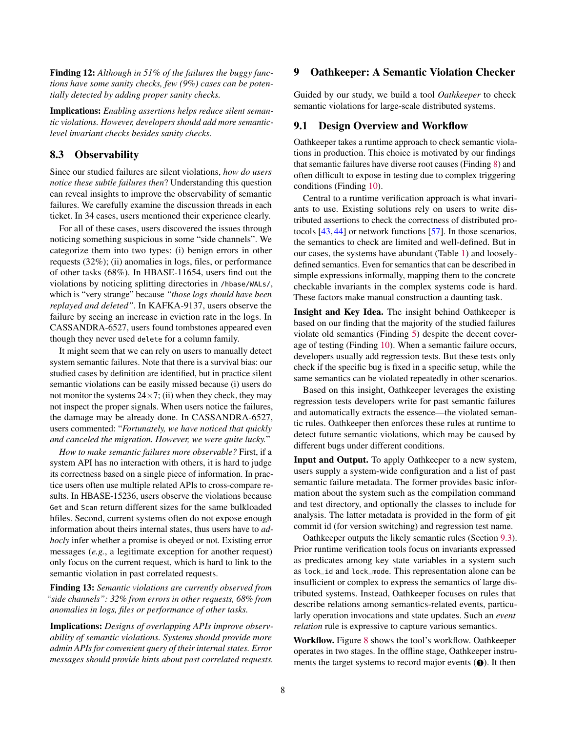Finding 12: *Although in 51% of the failures the buggy functions have some sanity checks, few (9%) cases can be potentially detected by adding proper sanity checks.*

Implications: *Enabling assertions helps reduce silent semantic violations. However, developers should add more semanticlevel invariant checks besides sanity checks.*

## 8.3 Observability

Since our studied failures are silent violations, *how do users notice these subtle failures then*? Understanding this question can reveal insights to improve the observability of semantic failures. We carefully examine the discussion threads in each ticket. In 34 cases, users mentioned their experience clearly.

For all of these cases, users discovered the issues through noticing something suspicious in some "side channels". We categorize them into two types: (i) benign errors in other requests (32%); (ii) anomalies in logs, files, or performance of other tasks (68%). In HBASE-11654, users find out the violations by noticing splitting directories in /hbase/WALs/, which is "very strange" because *"those logs should have been replayed and deleted"*. In KAFKA-9137, users observe the failure by seeing an increase in eviction rate in the logs. In CASSANDRA-6527, users found tombstones appeared even though they never used delete for a column family.

It might seem that we can rely on users to manually detect system semantic failures. Note that there is a survival bias: our studied cases by definition are identified, but in practice silent semantic violations can be easily missed because (i) users do not monitor the systems  $24 \times 7$ ; (ii) when they check, they may not inspect the proper signals. When users notice the failures, the damage may be already done. In CASSANDRA-6527, users commented: "*Fortunately, we have noticed that quickly and canceled the migration. However, we were quite lucky.*"

*How to make semantic failures more observable?* First, if a system API has no interaction with others, it is hard to judge its correctness based on a single piece of information. In practice users often use multiple related APIs to cross-compare results. In HBASE-15236, users observe the violations because Get and Scan return different sizes for the same bulkloaded hfiles. Second, current systems often do not expose enough information about theirs internal states, thus users have to *adhocly* infer whether a promise is obeyed or not. Existing error messages (*e.g.*, a legitimate exception for another request) only focus on the current request, which is hard to link to the semantic violation in past correlated requests.

Finding 13: *Semantic violations are currently observed from "side channels": 32% from errors in other requests, 68% from anomalies in logs, files or performance of other tasks.*

Implications: *Designs of overlapping APIs improve observability of semantic violations. Systems should provide more admin APIs for convenient query of their internal states. Error messages should provide hints about past correlated requests.*

## 9 Oathkeeper: A Semantic Violation Checker

Guided by our study, we build a tool *Oathkeeper* to check semantic violations for large-scale distributed systems.

#### <span id="page-7-0"></span>9.1 Design Overview and Workflow

Oathkeeper takes a runtime approach to check semantic violations in production. This choice is motivated by our findings that semantic failures have diverse root causes (Finding [8\)](#page-5-3) and often difficult to expose in testing due to complex triggering conditions (Finding [10\)](#page-6-2).

Central to a runtime verification approach is what invariants to use. Existing solutions rely on users to write distributed assertions to check the correctness of distributed protocols [\[43,](#page-15-5) [44\]](#page-15-6) or network functions [\[57\]](#page-16-0). In those scenarios, the semantics to check are limited and well-defined. But in our cases, the systems have abundant (Table [1\)](#page-0-0) and looselydefined semantics. Even for semantics that can be described in simple expressions informally, mapping them to the concrete checkable invariants in the complex systems code is hard. These factors make manual construction a daunting task.

Insight and Key Idea. The insight behind Oathkeeper is based on our finding that the majority of the studied failures violate old semantics (Finding [5\)](#page-4-1) despite the decent coverage of testing (Finding [10\)](#page-6-2). When a semantic failure occurs, developers usually add regression tests. But these tests only check if the specific bug is fixed in a specific setup, while the same semantics can be violated repeatedly in other scenarios.

Based on this insight, Oathkeeper leverages the existing regression tests developers write for past semantic failures and automatically extracts the essence—the violated semantic rules. Oathkeeper then enforces these rules at runtime to detect future semantic violations, which may be caused by different bugs under different conditions.

Input and Output. To apply Oathkeeper to a new system, users supply a system-wide configuration and a list of past semantic failure metadata. The former provides basic information about the system such as the compilation command and test directory, and optionally the classes to include for analysis. The latter metadata is provided in the form of git commit id (for version switching) and regression test name.

Oathkeeper outputs the likely semantic rules (Section [9.3\)](#page-8-0). Prior runtime verification tools focus on invariants expressed as predicates among key state variables in a system such as lock\_id and lock\_mode. This representation alone can be insufficient or complex to express the semantics of large distributed systems. Instead, Oathkeeper focuses on rules that describe relations among semantics-related events, particularly operation invocations and state updates. Such an *event relation* rule is expressive to capture various semantics.

Workflow. Figure [8](#page-8-1) shows the tool's workflow. Oathkeeper operates in two stages. In the offline stage, Oathkeeper instruments the target systems to record major events (❶). It then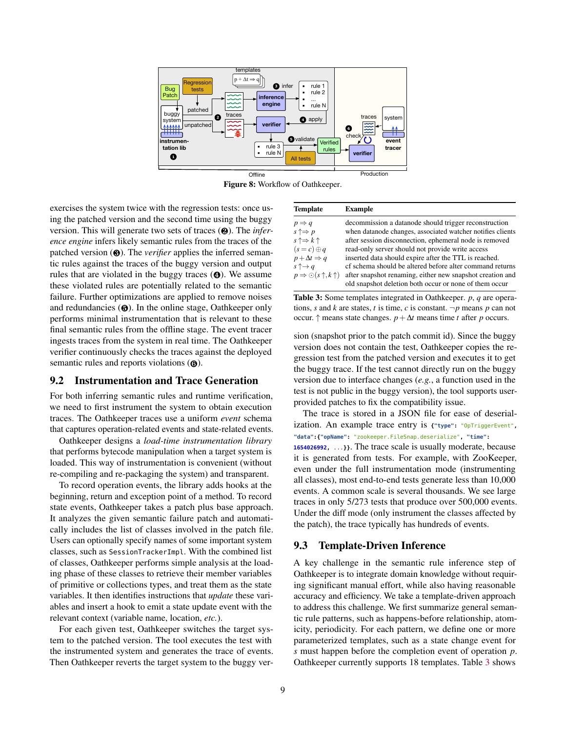<span id="page-8-1"></span>

Figure 8: Workflow of Oathkeeper.

exercises the system twice with the regression tests: once using the patched version and the second time using the buggy version. This will generate two sets of traces (❷). The *inference engine* infers likely semantic rules from the traces of the patched version (❸). The *verifier* applies the inferred semantic rules against the traces of the buggy version and output rules that are violated in the buggy traces (❹). We assume these violated rules are potentially related to the semantic failure. Further optimizations are applied to remove noises and redundancies  $\Theta$ ). In the online stage, Oathkeeper only performs minimal instrumentation that is relevant to these final semantic rules from the offline stage. The event tracer ingests traces from the system in real time. The Oathkeeper verifier continuously checks the traces against the deployed semantic rules and reports violations ( $\odot$ ).

## 9.2 Instrumentation and Trace Generation

For both inferring semantic rules and runtime verification, we need to first instrument the system to obtain execution traces. The Oathkeeper traces use a uniform *event* schema that captures operation-related events and state-related events.

Oathkeeper designs a *load-time instrumentation library* that performs bytecode manipulation when a target system is loaded. This way of instrumentation is convenient (without re-compiling and re-packaging the system) and transparent.

To record operation events, the library adds hooks at the beginning, return and exception point of a method. To record state events, Oathkeeper takes a patch plus base approach. It analyzes the given semantic failure patch and automatically includes the list of classes involved in the patch file. Users can optionally specify names of some important system classes, such as SessionTrackerImpl. With the combined list of classes, Oathkeeper performs simple analysis at the loading phase of these classes to retrieve their member variables of primitive or collections types, and treat them as the state variables. It then identifies instructions that *update* these variables and insert a hook to emit a state update event with the relevant context (variable name, location, *etc.*).

For each given test, Oathkeeper switches the target system to the patched version. The tool executes the test with the instrumented system and generates the trace of events. Then Oathkeeper reverts the target system to the buggy ver-

<span id="page-8-2"></span>

| <b>Template</b>                                | <b>Example</b>                                             |
|------------------------------------------------|------------------------------------------------------------|
| $p \Rightarrow q$                              | decommission a datanode should trigger reconstruction      |
| $s \uparrow \Rightarrow p$                     | when datanode changes, associated watcher notifies clients |
| $s \uparrow \Rightarrow k \uparrow$            | after session disconnection, ephemeral node is removed     |
| $(s = c) \oplus q$                             | read-only server should not provide write access           |
| $p + \Delta t \Rightarrow q$                   | inserted data should expire after the TTL is reached.      |
| $s \uparrow \rightarrow q$                     | cf schema should be altered before alter command returns   |
| $p \Rightarrow \odot (s \uparrow, k \uparrow)$ | after snapshot renaming, either new snapshot creation and  |
|                                                | old snapshot deletion both occur or none of them occur     |

Table 3: Some templates integrated in Oathkeeper. *p*, *q* are operations, *s* and *k* are states, *t* is time, *c* is constant.  $\neg p$  means *p* can not occur.  $\uparrow$  means state changes.  $p + \Delta t$  means time *t* after *p* occurs.

sion (snapshot prior to the patch commit id). Since the buggy version does not contain the test, Oathkeeper copies the regression test from the patched version and executes it to get the buggy trace. If the test cannot directly run on the buggy version due to interface changes (*e.g.*, a function used in the test is not public in the buggy version), the tool supports userprovided patches to fix the compatibility issue.

The trace is stored in a JSON file for ease of deserialization. An example trace entry is **{"type":** "OpTriggerEvent"**, "data":{"opName":** "zookeeper.FileSnap.deserialize"**, "time":**

**1654026992,** ...**}}**. The trace scale is usually moderate, because it is generated from tests. For example, with ZooKeeper, even under the full instrumentation mode (instrumenting all classes), most end-to-end tests generate less than 10,000 events. A common scale is several thousands. We see large traces in only 5/273 tests that produce over 500,000 events. Under the diff mode (only instrument the classes affected by the patch), the trace typically has hundreds of events.

#### <span id="page-8-0"></span>9.3 Template-Driven Inference

A key challenge in the semantic rule inference step of Oathkeeper is to integrate domain knowledge without requiring significant manual effort, while also having reasonable accuracy and efficiency. We take a template-driven approach to address this challenge. We first summarize general semantic rule patterns, such as happens-before relationship, atomicity, periodicity. For each pattern, we define one or more parameterized templates, such as a state change event for *s* must happen before the completion event of operation *p*. Oathkeeper currently supports 18 templates. Table [3](#page-8-2) shows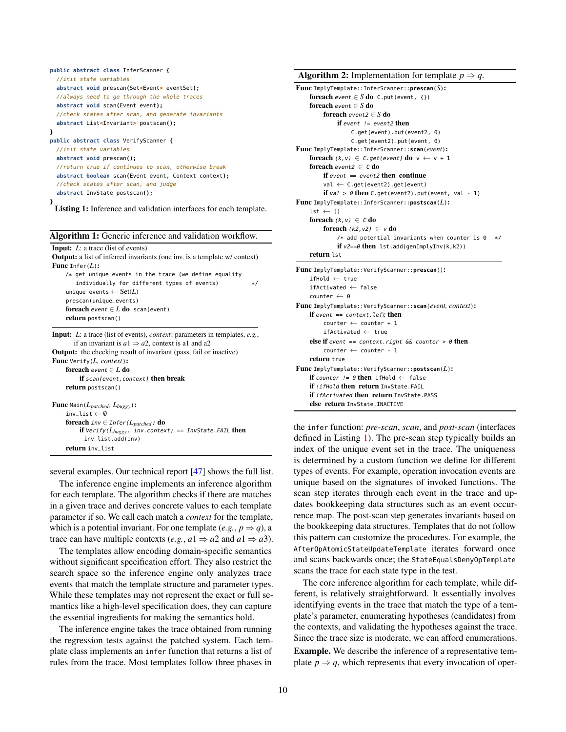```
public abstract class InferScanner {
  //init state variables
  abstract void prescan(Set<Event> eventSet);
  //always need to go through the whole traces
 abstract void scan(Event event);
 //check states after scan, and generate invariants
 abstract List<Invariant> postscan();
}
public abstract class VerifyScanner {
 //init state variables
  abstract void prescan();
  //return true if continues to scan, otherwise break
  abstract boolean scan(Event event, Context context);
  //check states after scan, and judge
  abstract InvState postscan();
}
```
Listing 1: Inference and validation interfaces for each template.

| Algorithm 1: Generic inference and validation workflow. |  |  |  |  |  |
|---------------------------------------------------------|--|--|--|--|--|
|---------------------------------------------------------|--|--|--|--|--|

**Input:** *L*: a trace (list of events) Output: a list of inferred invariants (one inv. is a template w/ context) Func Infer(*L*): /\* get unique events in the trace (we define equality individually for different types of events)  $*$ / unique\_events ← Set(*L*) prescan(unique\_events) foreach event ∈ *L* do scan(event) return postscan()

Input: *L*: a trace (list of events), *context*: parameters in templates, *e.g.*, if an invariant is  $a1 \Rightarrow a2$ , context is a1 and a2 Output: the checking result of invariant (pass, fail or inactive) Func Verify(*L, context*): foreach event ∈ *L* do if scan(event, context) then break return postscan()

| <b>Func</b> Main( $L_{patched}$ , $L_{buggy}$ ):                   |
|--------------------------------------------------------------------|
| inv list $\leftarrow \emptyset$                                    |
| <b>foreach</b> $inv \in$ <i>Infer</i> ( $L_{patched}$ ) <b>do</b>  |
| <b>if</b> Verify( $L_{bugev}$ , inv.context) == InvState.FAIL then |
| inv_list.add(inv)                                                  |
| return inv_list                                                    |

<span id="page-9-1"></span>several examples. Our technical report [\[47\]](#page-15-13) shows the full list.

The inference engine implements an inference algorithm for each template. The algorithm checks if there are matches in a given trace and derives concrete values to each template parameter if so. We call each match a *context* for the template, which is a potential invariant. For one template  $(e.g., p \Rightarrow q)$ , a trace can have multiple contexts (*e.g.*,  $a1 \Rightarrow a2$  and  $a1 \Rightarrow a3$ ).

The templates allow encoding domain-specific semantics without significant specification effort. They also restrict the search space so the inference engine only analyzes trace events that match the template structure and parameter types. While these templates may not represent the exact or full semantics like a high-level specification does, they can capture the essential ingredients for making the semantics hold.

The inference engine takes the trace obtained from running the regression tests against the patched system. Each template class implements an infer function that returns a list of rules from the trace. Most templates follow three phases in

#### Algorithm 2: Implementation for template  $p \Rightarrow q$ .

```
Func ImplyTemplate::InferScanner::prescan(S):
    foreach event \in S do C.put(event, \{\})foreach event ∈ S do
         foreach event2 ∈ S do
             if event != event2 then
                  C.get(event).put(event2, 0)
                  C.get(event2).put(event, 0)
Func ImplyTemplate::InferScanner::scan(event):
    foreach (k, v) \in C.get(event) do v \leftarrow v + 1foreach event2 \in \mathcal{C} do
        if event == event2 then continue
        val ← C.get(event2).get(event)
        if val > 0 then C.get(event2).put(event, val - 1)
Func ImplyTemplate::InferScanner::postscan(L):
    lst \leftarrow []
    foreach (k, v) \in C do
        foreach (k2, v2) \in v do
             /* add potential invariants when counter is 0 */
             if v2 == 0 then lst.add(genImplyInv(k,k2))
    return lst
Func ImplyTemplate::VerifyScanner::prescan():
    ifHold ← true
    ifActivated ← false
    counter \leftarrow 0Func ImplyTemplate::VerifyScanner::scan(event, context):
    if event = context. left then
         counter ← counter + 1
         ifActivated ← true
    else if event == context.right & \& \text{counter} > \theta then
        counter \leftarrow counter - 1return true
Func ImplyTemplate::VerifyScanner::postscan(L):
    if counter != \theta then ifHold \leftarrow false
    if !ifHold then return InvState.FAIL
    if ifActivated then return InvState.PASS
    else return InvState.INACTIVE
```
<span id="page-9-2"></span>the infer function: *pre-scan*, *scan*, and *post-scan* (interfaces defined in Listing [1\)](#page-9-0). The pre-scan step typically builds an index of the unique event set in the trace. The uniqueness is determined by a custom function we define for different types of events. For example, operation invocation events are unique based on the signatures of invoked functions. The scan step iterates through each event in the trace and updates bookkeeping data structures such as an event occurrence map. The post-scan step generates invariants based on the bookkeeping data structures. Templates that do not follow this pattern can customize the procedures. For example, the AfterOpAtomicStateUpdateTemplate iterates forward once and scans backwards once; the StateEqualsDenyOpTemplate scans the trace for each state type in the test.

The core inference algorithm for each template, while different, is relatively straightforward. It essentially involves identifying events in the trace that match the type of a template's parameter, enumerating hypotheses (candidates) from the contexts, and validating the hypotheses against the trace. Since the trace size is moderate, we can afford enumerations. Example. We describe the inference of a representative template  $p \Rightarrow q$ , which represents that every invocation of oper-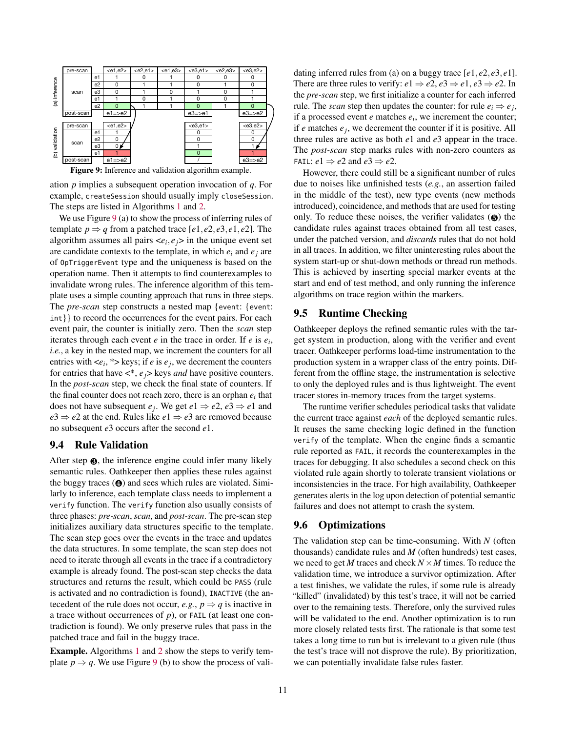<span id="page-10-0"></span>

Figure 9: Inference and validation algorithm example.

ation *p* implies a subsequent operation invocation of *q*. For example, createSession should usually imply closeSession. The steps are listed in Algorithms [1](#page-9-1) and [2.](#page-9-2)

We use Figure [9](#page-10-0) (a) to show the process of inferring rules of template  $p \Rightarrow q$  from a patched trace  $[e1, e2, e3, e1, e2]$ . The algorithm assumes all pairs  $\langle e_i, e_j \rangle$  in the unique event set are candidate contexts to the template, in which  $e_i$  and  $e_j$  are of OpTriggerEvent type and the uniqueness is based on the operation name. Then it attempts to find counterexamples to invalidate wrong rules. The inference algorithm of this template uses a simple counting approach that runs in three steps. The *pre-scan* step constructs a nested map {event: {event: int}} to record the occurrences for the event pairs. For each event pair, the counter is initially zero. Then the *scan* step iterates through each event *e* in the trace in order. If *e* is *e<sup>i</sup>* , *i.e.*, a key in the nested map, we increment the counters for all entries with  $\langle e_i, * \rangle$  keys; if *e* is  $e_j$ , we decrement the counters for entries that have <\*, *ej*> keys *and* have positive counters. In the *post-scan* step, we check the final state of counters. If the final counter does not reach zero, there is an orphan  $e_i$  that does not have subsequent  $e_j$ . We get  $e_1 \Rightarrow e_2, e_3 \Rightarrow e_1$  and  $e^3 \Rightarrow e^2$  at the end. Rules like  $e^1 \Rightarrow e^3$  are removed because no subsequent *e*3 occurs after the second *e*1.

#### <span id="page-10-1"></span>9.4 Rule Validation

After step  $\Theta$ , the inference engine could infer many likely semantic rules. Oathkeeper then applies these rules against the buggy traces (❹) and sees which rules are violated. Similarly to inference, each template class needs to implement a verify function. The verify function also usually consists of three phases: *pre-scan*, *scan*, and *post-scan*. The pre-scan step initializes auxiliary data structures specific to the template. The scan step goes over the events in the trace and updates the data structures. In some template, the scan step does not need to iterate through all events in the trace if a contradictory example is already found. The post-scan step checks the data structures and returns the result, which could be PASS (rule is activated and no contradiction is found), INACTIVE (the antecedent of the rule does not occur, *e.g.*,  $p \Rightarrow q$  is inactive in a trace without occurrences of *p*), or FAIL (at least one contradiction is found). We only preserve rules that pass in the patched trace and fail in the buggy trace.

Example. Algorithms [1](#page-9-1) and [2](#page-9-2) show the steps to verify template  $p \Rightarrow q$ . We use Figure [9](#page-10-0) (b) to show the process of vali-

dating inferred rules from (a) on a buggy trace [*e*1, *e*2, *e*3, *e*1]. There are three rules to verify:  $e1 \Rightarrow e2, e3 \Rightarrow e1, e3 \Rightarrow e2$ . In the *pre-scan* step, we first initialize a counter for each inferred rule. The *scan* step then updates the counter: for rule  $e_i \Rightarrow e_j$ , if a processed event *e* matches *e<sup>i</sup>* , we increment the counter; if  $e$  matches  $e_j$ , we decrement the counter if it is positive. All three rules are active as both *e*1 and *e*3 appear in the trace. The *post-scan* step marks rules with non-zero counters as FAIL:  $e1 \Rightarrow e2$  and  $e3 \Rightarrow e2$ .

However, there could still be a significant number of rules due to noises like unfinished tests (*e.g.*, an assertion failed in the middle of the test), new type events (new methods introduced), coincidence, and methods that are used for testing only. To reduce these noises, the verifier validates  $\Theta$  the candidate rules against traces obtained from all test cases, under the patched version, and *discards* rules that do not hold in all traces. In addition, we filter uninteresting rules about the system start-up or shut-down methods or thread run methods. This is achieved by inserting special marker events at the start and end of test method, and only running the inference algorithms on trace region within the markers.

# 9.5 Runtime Checking

Oathkeeper deploys the refined semantic rules with the target system in production, along with the verifier and event tracer. Oathkeeper performs load-time instrumentation to the production system in a wrapper class of the entry points. Different from the offline stage, the instrumentation is selective to only the deployed rules and is thus lightweight. The event tracer stores in-memory traces from the target systems.

The runtime verifier schedules periodical tasks that validate the current trace against *each* of the deployed semantic rules. It reuses the same checking logic defined in the function verify of the template. When the engine finds a semantic rule reported as FAIL, it records the counterexamples in the traces for debugging. It also schedules a second check on this violated rule again shortly to tolerate transient violations or inconsistencies in the trace. For high availability, Oathkeeper generates alerts in the log upon detection of potential semantic failures and does not attempt to crash the system.

#### <span id="page-10-2"></span>9.6 Optimizations

The validation step can be time-consuming. With *N* (often thousands) candidate rules and *M* (often hundreds) test cases, we need to get *M* traces and check  $N \times M$  times. To reduce the validation time, we introduce a survivor optimization. After a test finishes, we validate the rules, if some rule is already "killed" (invalidated) by this test's trace, it will not be carried over to the remaining tests. Therefore, only the survived rules will be validated to the end. Another optimization is to run more closely related tests first. The rationale is that some test takes a long time to run but is irrelevant to a given rule (thus the test's trace will not disprove the rule). By prioritization, we can potentially invalidate false rules faster.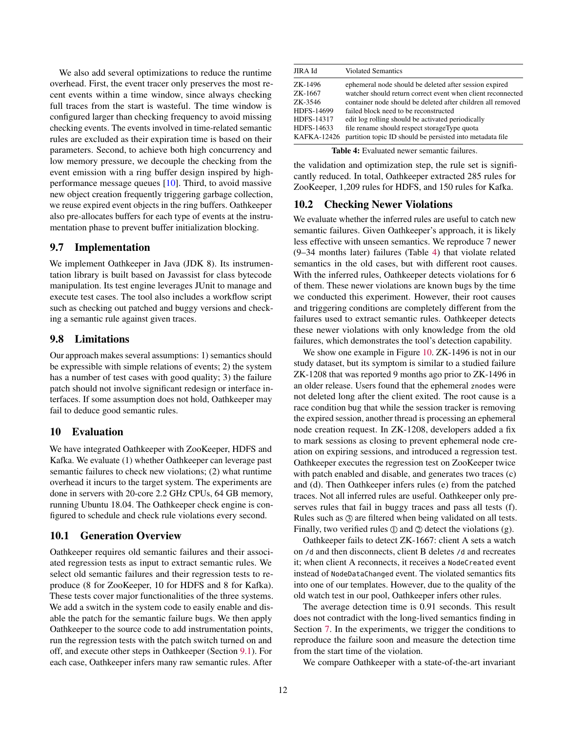We also add several optimizations to reduce the runtime overhead. First, the event tracer only preserves the most recent events within a time window, since always checking full traces from the start is wasteful. The time window is configured larger than checking frequency to avoid missing checking events. The events involved in time-related semantic rules are excluded as their expiration time is based on their parameters. Second, to achieve both high concurrency and low memory pressure, we decouple the checking from the event emission with a ring buffer design inspired by highperformance message queues [\[10\]](#page-14-21). Third, to avoid massive new object creation frequently triggering garbage collection, we reuse expired event objects in the ring buffers. Oathkeeper also pre-allocates buffers for each type of events at the instrumentation phase to prevent buffer initialization blocking.

## 9.7 Implementation

We implement Oathkeeper in Java (JDK 8). Its instrumentation library is built based on Javassist for class bytecode manipulation. Its test engine leverages JUnit to manage and execute test cases. The tool also includes a workflow script such as checking out patched and buggy versions and checking a semantic rule against given traces.

# 9.8 Limitations

Our approach makes several assumptions: 1) semantics should be expressible with simple relations of events; 2) the system has a number of test cases with good quality; 3) the failure patch should not involve significant redesign or interface interfaces. If some assumption does not hold, Oathkeeper may fail to deduce good semantic rules.

## 10 Evaluation

We have integrated Oathkeeper with ZooKeeper, HDFS and Kafka. We evaluate (1) whether Oathkeeper can leverage past semantic failures to check new violations; (2) what runtime overhead it incurs to the target system. The experiments are done in servers with 20-core 2.2 GHz CPUs, 64 GB memory, running Ubuntu 18.04. The Oathkeeper check engine is configured to schedule and check rule violations every second.

## 10.1 Generation Overview

Oathkeeper requires old semantic failures and their associated regression tests as input to extract semantic rules. We select old semantic failures and their regression tests to reproduce (8 for ZooKeeper, 10 for HDFS and 8 for Kafka). These tests cover major functionalities of the three systems. We add a switch in the system code to easily enable and disable the patch for the semantic failure bugs. We then apply Oathkeeper to the source code to add instrumentation points, run the regression tests with the patch switch turned on and off, and execute other steps in Oathkeeper (Section [9.1\)](#page-7-0). For each case, Oathkeeper infers many raw semantic rules. After

<span id="page-11-0"></span>

| JIRA Id            | <b>Violated Semantics</b>                                   |
|--------------------|-------------------------------------------------------------|
| ZK-1496            | ephemeral node should be deleted after session expired      |
| ZK-1667            | watcher should return correct event when client reconnected |
| ZK-3546            | container node should be deleted after children all removed |
| HDFS-14699         | failed block need to be reconstructed                       |
| HDFS-14317         | edit log rolling should be activated periodically           |
| HDFS-14633         | file rename should respect storageType quota                |
| <b>KAFKA-12426</b> | partition topic ID should be persisted into metadata file   |

| <b>Table 4:</b> Evaluated newer semantic failures. |  |  |  |
|----------------------------------------------------|--|--|--|
|----------------------------------------------------|--|--|--|

the validation and optimization step, the rule set is significantly reduced. In total, Oathkeeper extracted 285 rules for ZooKeeper, 1,209 rules for HDFS, and 150 rules for Kafka.

## 10.2 Checking Newer Violations

We evaluate whether the inferred rules are useful to catch new semantic failures. Given Oathkeeper's approach, it is likely less effective with unseen semantics. We reproduce 7 newer (9–34 months later) failures (Table [4\)](#page-11-0) that violate related semantics in the old cases, but with different root causes. With the inferred rules, Oathkeeper detects violations for 6 of them. These newer violations are known bugs by the time we conducted this experiment. However, their root causes and triggering conditions are completely different from the failures used to extract semantic rules. Oathkeeper detects these newer violations with only knowledge from the old failures, which demonstrates the tool's detection capability.

We show one example in Figure [10.](#page-12-0) ZK-1496 is not in our study dataset, but its symptom is similar to a studied failure ZK-1208 that was reported 9 months ago prior to ZK-1496 in an older release. Users found that the ephemeral znodes were not deleted long after the client exited. The root cause is a race condition bug that while the session tracker is removing the expired session, another thread is processing an ephemeral node creation request. In ZK-1208, developers added a fix to mark sessions as closing to prevent ephemeral node creation on expiring sessions, and introduced a regression test. Oathkeeper executes the regression test on ZooKeeper twice with patch enabled and disable, and generates two traces (c) and (d). Then Oathkeeper infers rules (e) from the patched traces. Not all inferred rules are useful. Oathkeeper only preserves rules that fail in buggy traces and pass all tests (f). Rules such as  $\circled{3}$  are filtered when being validated on all tests. Finally, two verified rules  $\mathbb D$  and  $\mathbb Q$  detect the violations (g).

Oathkeeper fails to detect ZK-1667: client A sets a watch on /d and then disconnects, client B deletes /d and recreates it; when client A reconnects, it receives a NodeCreated event instead of NodeDataChanged event. The violated semantics fits into one of our templates. However, due to the quality of the old watch test in our pool, Oathkeeper infers other rules.

The average detection time is 0.91 seconds. This result does not contradict with the long-lived semantics finding in Section [7.](#page-5-2) In the experiments, we trigger the conditions to reproduce the failure soon and measure the detection time from the start time of the violation.

We compare Oathkeeper with a state-of-the-art invariant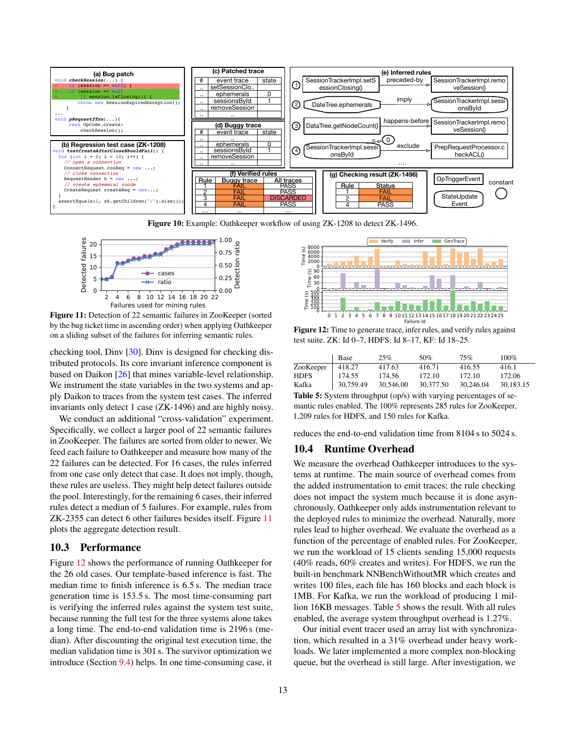<span id="page-12-0"></span>

Figure 10: Example: Oathkeeper workflow of using ZK-1208 to detect ZK-1496.

<span id="page-12-1"></span>

Figure 11: Detection of 22 semantic failures in ZooKeeper (sorted by the bug ticket time in ascending order) when applying Oathkeeper on a sliding subset of the failures for inferring semantic rules.

checking tool, Dinv [\[30\]](#page-14-22). Dinv is designed for checking distributed protocols. Its core invariant inference component is based on Daikon [\[26\]](#page-14-23) that mines variable-level relationship. We instrument the state variables in the two systems and apply Daikon to traces from the system test cases. The inferred invariants only detect 1 case (ZK-1496) and are highly noisy.

We conduct an additional "cross-validation" experiment. Specifically, we collect a larger pool of 22 semantic failures in ZooKeeper. The failures are sorted from older to newer. We feed each failure to Oathkeeper and measure how many of the 22 failures can be detected. For 16 cases, the rules inferred from one case only detect that case. It does not imply, though, these rules are useless. They might help detect failures outside the pool. Interestingly, for the remaining 6 cases, their inferred rules detect a median of 5 failures. For example, rules from ZK-2355 can detect 6 other failures besides itself. Figure [11](#page-12-1) plots the aggregate detection result.

#### 10.3 Performance

Figure [12](#page-12-2) shows the performance of running Oathkeeper for the 26 old cases. Our template-based inference is fast. The median time to finish inference is 6.5 s. The median trace generation time is 153.5 s. The most time-consuming part is verifying the inferred rules against the system test suite, because running the full test for the three systems alone takes a long time. The end-to-end validation time is 2196 s (median). After discounting the original test execution time, the median validation time is 301 s. The survivor optimization we introduce (Section [9.4\)](#page-10-1) helps. In one time-consuming case, it

<span id="page-12-2"></span>

Figure 12: Time to generate trace, infer rules, and verify rules against test suite. ZK: Id 0–7, HDFS: Id 8–17, KF: Id 18–25.

<span id="page-12-3"></span>

|             | Base      | 25%       | .50%      | 75%       | $100\%$   |
|-------------|-----------|-----------|-----------|-----------|-----------|
| ZooKeeper   | 418.27    | 417.63    | 416.71    | 416.55    | 416.1     |
| <b>HDFS</b> | 174.55    | 174.56    | 172.10    | 172.10    | 172.06    |
| Kafka       | 30,759.49 | 30,546.00 | 30,377.50 | 30,246.04 | 30.183.15 |

Table 5: System throughput (op/s) with varying percentages of semantic rules enabled. The 100% represents 285 rules for ZooKeeper, 1,209 rules for HDFS, and 150 rules for Kafka.

reduces the end-to-end validation time from 8104 s to 5024 s.

## 10.4 Runtime Overhead

We measure the overhead Oathkeeper introduces to the systems at runtime. The main source of overhead comes from the added instrumentation to emit traces; the rule checking does not impact the system much because it is done asynchronously. Oathkeeper only adds instrumentation relevant to the deployed rules to minimize the overhead. Naturally, more rules lead to higher overhead. We evaluate the overhead as a function of the percentage of enabled rules. For ZooKeeper, we run the workload of 15 clients sending 15,000 requests (40% reads, 60% creates and writes). For HDFS, we run the built-in benchmark NNBenchWithoutMR which creates and writes 100 files, each file has 160 blocks and each block is 1MB. For Kafka, we run the workload of producing 1 million 16KB messages. Table [5](#page-12-3) shows the result. With all rules enabled, the average system throughput overhead is 1.27%.

Our initial event tracer used an array list with synchronization, which resulted in a 31% overhead under heavy workloads. We later implemented a more complex non-blocking queue, but the overhead is still large. After investigation, we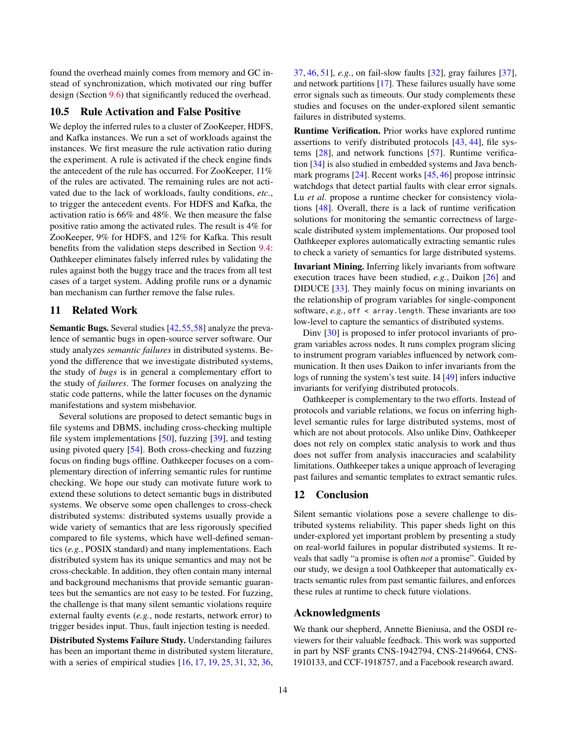found the overhead mainly comes from memory and GC instead of synchronization, which motivated our ring buffer design (Section [9.6\)](#page-10-2) that significantly reduced the overhead.

## 10.5 Rule Activation and False Positive

We deploy the inferred rules to a cluster of ZooKeeper, HDFS, and Kafka instances. We run a set of workloads against the instances. We first measure the rule activation ratio during the experiment. A rule is activated if the check engine finds the antecedent of the rule has occurred. For ZooKeeper, 11% of the rules are activated. The remaining rules are not activated due to the lack of workloads, faulty conditions, *etc.*, to trigger the antecedent events. For HDFS and Kafka, the activation ratio is 66% and 48%. We then measure the false positive ratio among the activated rules. The result is 4% for ZooKeeper, 9% for HDFS, and 12% for Kafka. This result benefits from the validation steps described in Section [9.4:](#page-10-1) Oathkeeper eliminates falsely inferred rules by validating the rules against both the buggy trace and the traces from all test cases of a target system. Adding profile runs or a dynamic ban mechanism can further remove the false rules.

## 11 Related Work

Semantic Bugs. Several studies [\[42,](#page-15-14)[55,](#page-16-2)[58\]](#page-16-3) analyze the prevalence of semantic bugs in open-source server software. Our study analyzes *semantic failures* in distributed systems. Beyond the difference that we investigate distributed systems, the study of *bugs* is in general a complementary effort to the study of *failures*. The former focuses on analyzing the static code patterns, while the latter focuses on the dynamic manifestations and system misbehavior.

Several solutions are proposed to detect semantic bugs in file systems and DBMS, including cross-checking multiple file system implementations [\[50\]](#page-15-15), fuzzing [\[39\]](#page-15-16), and testing using pivoted query [\[54\]](#page-16-4). Both cross-checking and fuzzing focus on finding bugs offline. Oathkeeper focuses on a complementary direction of inferring semantic rules for runtime checking. We hope our study can motivate future work to extend these solutions to detect semantic bugs in distributed systems. We observe some open challenges to cross-check distributed systems: distributed systems usually provide a wide variety of semantics that are less rigorously specified compared to file systems, which have well-defined semantics (*e.g.*, POSIX standard) and many implementations. Each distributed system has its unique semantics and may not be cross-checkable. In addition, they often contain many internal and background mechanisms that provide semantic guarantees but the semantics are not easy to be tested. For fuzzing, the challenge is that many silent semantic violations require external faulty events (*e.g.*, node restarts, network error) to trigger besides input. Thus, fault injection testing is needed.

Distributed Systems Failure Study. Understanding failures has been an important theme in distributed system literature, with a series of empirical studies [\[16,](#page-14-24) [17,](#page-14-25) [19,](#page-14-26) [25,](#page-14-27) [31,](#page-14-28) [32,](#page-15-8) [36,](#page-15-17) [37,](#page-15-9) [46,](#page-15-1) [51\]](#page-15-18), *e.g.*, on fail-slow faults [\[32\]](#page-15-8), gray failures [\[37\]](#page-15-9), and network partitions [\[17\]](#page-14-25). These failures usually have some error signals such as timeouts. Our study complements these studies and focuses on the under-explored silent semantic failures in distributed systems.

Runtime Verification. Prior works have explored runtime assertions to verify distributed protocols [\[43,](#page-15-5) [44\]](#page-15-6), file systems [\[28\]](#page-14-29), and network functions [\[57\]](#page-16-0). Runtime verification [\[34\]](#page-15-19) is also studied in embedded systems and Java benchmark programs [\[24\]](#page-14-30). Recent works [\[45,](#page-15-10) [46\]](#page-15-1) propose intrinsic watchdogs that detect partial faults with clear error signals. Lu *et al.* propose a runtime checker for consistency violations [\[48\]](#page-15-7). Overall, there is a lack of runtime verification solutions for monitoring the semantic correctness of largescale distributed system implementations. Our proposed tool Oathkeeper explores automatically extracting semantic rules to check a variety of semantics for large distributed systems.

Invariant Mining. Inferring likely invariants from software execution traces have been studied, *e.g.*, Daikon [\[26\]](#page-14-23) and DIDUCE [\[33\]](#page-15-20). They mainly focus on mining invariants on the relationship of program variables for single-component software, *e.g.*, off < array.length. These invariants are too low-level to capture the semantics of distributed systems.

Dinv [\[30\]](#page-14-22) is proposed to infer protocol invariants of program variables across nodes. It runs complex program slicing to instrument program variables influenced by network communication. It then uses Daikon to infer invariants from the logs of running the system's test suite. I4 [\[49\]](#page-15-21) infers inductive invariants for verifying distributed protocols.

Oathkeeper is complementary to the two efforts. Instead of protocols and variable relations, we focus on inferring highlevel semantic rules for large distributed systems, most of which are not about protocols. Also unlike Dinv, Oathkeeper does not rely on complex static analysis to work and thus does not suffer from analysis inaccuracies and scalability limitations. Oathkeeper takes a unique approach of leveraging past failures and semantic templates to extract semantic rules.

## 12 Conclusion

Silent semantic violations pose a severe challenge to distributed systems reliability. This paper sheds light on this under-explored yet important problem by presenting a study on real-world failures in popular distributed systems. It reveals that sadly "a promise is often *not* a promise". Guided by our study, we design a tool Oathkeeper that automatically extracts semantic rules from past semantic failures, and enforces these rules at runtime to check future violations.

## Acknowledgments

We thank our shepherd, Annette Bieniusa, and the OSDI reviewers for their valuable feedback. This work was supported in part by NSF grants CNS-1942794, CNS-2149664, CNS-1910133, and CCF-1918757, and a Facebook research award.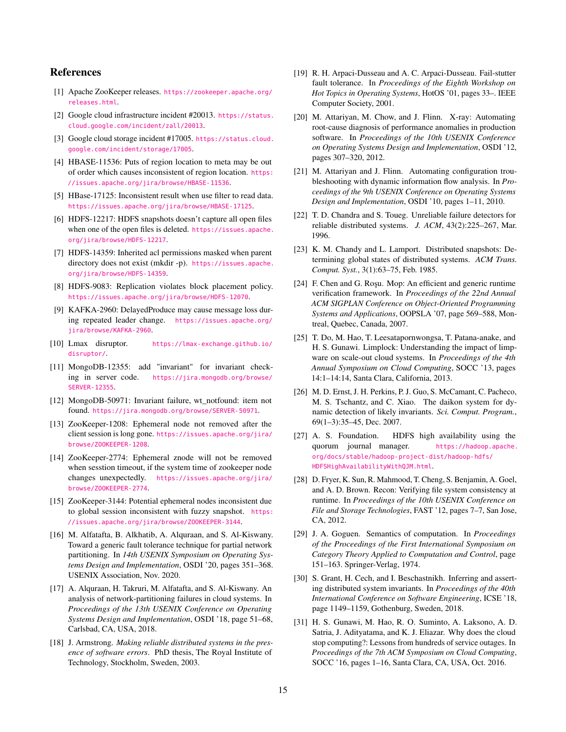# References

- <span id="page-14-14"></span>[1] Apache ZooKeeper releases. [https://zookeeper.apache.org/](https://zookeeper.apache.org/releases.html) [releases.html](https://zookeeper.apache.org/releases.html).
- <span id="page-14-2"></span>[2] Google cloud infrastructure incident #20013. [https://status.](https://status.cloud.google.com/incident/zall/20013) [cloud.google.com/incident/zall/20013](https://status.cloud.google.com/incident/zall/20013).
- <span id="page-14-1"></span>[3] Google cloud storage incident #17005. [https://status.cloud.](https://status.cloud.google.com/incident/storage/17005) [google.com/incident/storage/17005](https://status.cloud.google.com/incident/storage/17005).
- <span id="page-14-13"></span>[4] HBASE-11536: Puts of region location to meta may be out of order which causes inconsistent of region location. [https:](https://issues.apache.org/jira/browse/HBASE-11536) [//issues.apache.org/jira/browse/HBASE-11536](https://issues.apache.org/jira/browse/HBASE-11536).
- <span id="page-14-8"></span>[5] HBase-17125: Inconsistent result when use filter to read data. <https://issues.apache.org/jira/browse/HBASE-17125>.
- <span id="page-14-16"></span>[6] HDFS-12217: HDFS snapshots doesn't capture all open files when one of the open files is deleted. [https://issues.apache.](https://issues.apache.org/jira/browse/HDFS-12217) [org/jira/browse/HDFS-12217](https://issues.apache.org/jira/browse/HDFS-12217).
- <span id="page-14-10"></span>[7] HDFS-14359: Inherited acl permissions masked when parent directory does not exist (mkdir -p). [https://issues.apache.](https://issues.apache.org/jira/browse/HDFS-14359) [org/jira/browse/HDFS-14359](https://issues.apache.org/jira/browse/HDFS-14359).
- <span id="page-14-7"></span>[8] HDFS-9083: Replication violates block placement policy. <https://issues.apache.org/jira/browse/HDFS-12070>.
- <span id="page-14-9"></span>[9] KAFKA-2960: DelayedProduce may cause message loss during repeated leader change. [https://issues.apache.org/](https://issues.apache.org/jira/browse/KAFKA-2960) [jira/browse/KAFKA-2960](https://issues.apache.org/jira/browse/KAFKA-2960).
- <span id="page-14-21"></span>[10] Lmax disruptor. [https://lmax-exchange.github.io/](https://lmax-exchange.github.io/disruptor/) [disruptor/](https://lmax-exchange.github.io/disruptor/).
- <span id="page-14-19"></span>[11] MongoDB-12355: add "invariant" for invariant checking in server code. [https://jira.mongodb.org/browse/](https://jira.mongodb.org/browse/SERVER-12355) [SERVER-12355](https://jira.mongodb.org/browse/SERVER-12355).
- <span id="page-14-20"></span>[12] MongoDB-50971: Invariant failure, wt\_notfound: item not found. <https://jira.mongodb.org/browse/SERVER-50971>.
- <span id="page-14-5"></span>[13] ZooKeeper-1208: Ephemeral node not removed after the client session is long gone. [https://issues.apache.org/jira/](https://issues.apache.org/jira/browse/ZOOKEEPER-1208) [browse/ZOOKEEPER-1208](https://issues.apache.org/jira/browse/ZOOKEEPER-1208).
- <span id="page-14-17"></span>[14] ZooKeeper-2774: Ephemeral znode will not be removed when sesstion timeout, if the system time of zookeeper node changes unexpectedly. [https://issues.apache.org/jira/](https://issues.apache.org/jira/browse/ZOOKEEPER-2774) [browse/ZOOKEEPER-2774](https://issues.apache.org/jira/browse/ZOOKEEPER-2774).
- <span id="page-14-15"></span>[15] ZooKeeper-3144: Potential ephemeral nodes inconsistent due to global session inconsistent with fuzzy snapshot. [https:](https://issues.apache.org/jira/browse/ZOOKEEPER-3144) [//issues.apache.org/jira/browse/ZOOKEEPER-3144](https://issues.apache.org/jira/browse/ZOOKEEPER-3144).
- <span id="page-14-24"></span>[16] M. Alfatafta, B. Alkhatib, A. Alquraan, and S. Al-Kiswany. Toward a generic fault tolerance technique for partial network partitioning. In *14th USENIX Symposium on Operating Systems Design and Implementation*, OSDI '20, pages 351–368. USENIX Association, Nov. 2020.
- <span id="page-14-25"></span>[17] A. Alquraan, H. Takruri, M. Alfatafta, and S. Al-Kiswany. An analysis of network-partitioning failures in cloud systems. In *Proceedings of the 13th USENIX Conference on Operating Systems Design and Implementation*, OSDI '18, page 51–68, Carlsbad, CA, USA, 2018.
- <span id="page-14-6"></span>[18] J. Armstrong. *Making reliable distributed systems in the presence of software errors*. PhD thesis, The Royal Institute of Technology, Stockholm, Sweden, 2003.
- <span id="page-14-26"></span>[19] R. H. Arpaci-Dusseau and A. C. Arpaci-Dusseau. Fail-stutter fault tolerance. In *Proceedings of the Eighth Workshop on Hot Topics in Operating Systems*, HotOS '01, pages 33–. IEEE Computer Society, 2001.
- <span id="page-14-11"></span>[20] M. Attariyan, M. Chow, and J. Flinn. X-ray: Automating root-cause diagnosis of performance anomalies in production software. In *Proceedings of the 10th USENIX Conference on Operating Systems Design and Implementation*, OSDI '12, pages 307–320, 2012.
- <span id="page-14-12"></span>[21] M. Attariyan and J. Flinn. Automating configuration troubleshooting with dynamic information flow analysis. In *Proceedings of the 9th USENIX Conference on Operating Systems Design and Implementation*, OSDI '10, pages 1–11, 2010.
- <span id="page-14-0"></span>[22] T. D. Chandra and S. Toueg. Unreliable failure detectors for reliable distributed systems. *J. ACM*, 43(2):225–267, Mar. 1996.
- <span id="page-14-18"></span>[23] K. M. Chandy and L. Lamport. Distributed snapshots: Determining global states of distributed systems. *ACM Trans. Comput. Syst.*, 3(1):63–75, Feb. 1985.
- <span id="page-14-30"></span>[24] F. Chen and G. Roşu. Mop: An efficient and generic runtime verification framework. In *Proceedings of the 22nd Annual ACM SIGPLAN Conference on Object-Oriented Programming Systems and Applications*, OOPSLA '07, page 569–588, Montreal, Quebec, Canada, 2007.
- <span id="page-14-27"></span>[25] T. Do, M. Hao, T. Leesatapornwongsa, T. Patana-anake, and H. S. Gunawi. Limplock: Understanding the impact of limpware on scale-out cloud systems. In *Proceedings of the 4th Annual Symposium on Cloud Computing*, SOCC '13, pages 14:1–14:14, Santa Clara, California, 2013.
- <span id="page-14-23"></span>[26] M. D. Ernst, J. H. Perkins, P. J. Guo, S. McCamant, C. Pacheco, M. S. Tschantz, and C. Xiao. The daikon system for dynamic detection of likely invariants. *Sci. Comput. Program.*, 69(1–3):35–45, Dec. 2007.
- <span id="page-14-4"></span>[27] A. S. Foundation. HDFS high availability using the quorum journal manager. [https://hadoop.apache.](https://hadoop.apache.org/docs/stable/hadoop-project-dist/hadoop-hdfs/HDFSHighAvailabilityWithQJM.html) [org/docs/stable/hadoop-project-dist/hadoop-hdfs/](https://hadoop.apache.org/docs/stable/hadoop-project-dist/hadoop-hdfs/HDFSHighAvailabilityWithQJM.html) [HDFSHighAvailabilityWithQJM.html](https://hadoop.apache.org/docs/stable/hadoop-project-dist/hadoop-hdfs/HDFSHighAvailabilityWithQJM.html).
- <span id="page-14-29"></span>[28] D. Fryer, K. Sun, R. Mahmood, T. Cheng, S. Benjamin, A. Goel, and A. D. Brown. Recon: Verifying file system consistency at runtime. In *Proceedings of the 10th USENIX Conference on File and Storage Technologies*, FAST '12, pages 7–7, San Jose, CA, 2012.
- <span id="page-14-3"></span>[29] J. A. Goguen. Semantics of computation. In *Proceedings of the Proceedings of the First International Symposium on Category Theory Applied to Computation and Control*, page 151–163. Springer-Verlag, 1974.
- <span id="page-14-22"></span>[30] S. Grant, H. Cech, and I. Beschastnikh. Inferring and asserting distributed system invariants. In *Proceedings of the 40th International Conference on Software Engineering*, ICSE '18, page 1149–1159, Gothenburg, Sweden, 2018.
- <span id="page-14-28"></span>[31] H. S. Gunawi, M. Hao, R. O. Suminto, A. Laksono, A. D. Satria, J. Adityatama, and K. J. Eliazar. Why does the cloud stop computing?: Lessons from hundreds of service outages. In *Proceedings of the 7th ACM Symposium on Cloud Computing*, SOCC '16, pages 1–16, Santa Clara, CA, USA, Oct. 2016.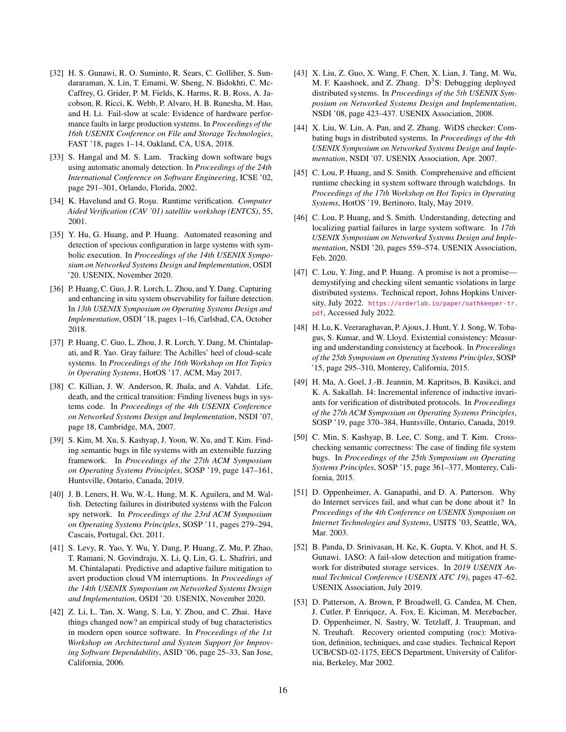- <span id="page-15-8"></span>[32] H. S. Gunawi, R. O. Suminto, R. Sears, C. Golliher, S. Sundararaman, X. Lin, T. Emami, W. Sheng, N. Bidokhti, C. Mc-Caffrey, G. Grider, P. M. Fields, K. Harms, R. B. Ross, A. Jacobson, R. Ricci, K. Webb, P. Alvaro, H. B. Runesha, M. Hao, and H. Li. Fail-slow at scale: Evidence of hardware performance faults in large production systems. In *Proceedings of the 16th USENIX Conference on File and Storage Technologies*, FAST '18, pages 1–14, Oakland, CA, USA, 2018.
- <span id="page-15-20"></span>[33] S. Hangal and M. S. Lam. Tracking down software bugs using automatic anomaly detection. In *Proceedings of the 24th International Conference on Software Engineering*, ICSE '02, page 291–301, Orlando, Florida, 2002.
- <span id="page-15-19"></span>[34] K. Havelund and G. Ro¸su. Runtime verification. *Computer Aided Verification (CAV '01) satellite workshop (ENTCS)*, 55, 2001.
- <span id="page-15-11"></span>[35] Y. Hu, G. Huang, and P. Huang. Automated reasoning and detection of specious configuration in large systems with symbolic execution. In *Proceedings of the 14th USENIX Symposium on Networked Systems Design and Implementation*, OSDI '20. USENIX, November 2020.
- <span id="page-15-17"></span>[36] P. Huang, C. Guo, J. R. Lorch, L. Zhou, and Y. Dang. Capturing and enhancing in situ system observability for failure detection. In *13th USENIX Symposium on Operating Systems Design and Implementation*, OSDI '18, pages 1–16, Carlsbad, CA, October 2018.
- <span id="page-15-9"></span>[37] P. Huang, C. Guo, L. Zhou, J. R. Lorch, Y. Dang, M. Chintalapati, and R. Yao. Gray failure: The Achilles' heel of cloud-scale systems. In *Proceedings of the 16th Workshop on Hot Topics in Operating Systems*, HotOS '17. ACM, May 2017.
- <span id="page-15-12"></span>[38] C. Killian, J. W. Anderson, R. Jhala, and A. Vahdat. Life, death, and the critical transition: Finding liveness bugs in systems code. In *Proceedings of the 4th USENIX Conference on Networked Systems Design and Implementation*, NSDI '07, page 18, Cambridge, MA, 2007.
- <span id="page-15-16"></span>[39] S. Kim, M. Xu, S. Kashyap, J. Yoon, W. Xu, and T. Kim. Finding semantic bugs in file systems with an extensible fuzzing framework. In *Proceedings of the 27th ACM Symposium on Operating Systems Principles*, SOSP '19, page 147–161, Huntsville, Ontario, Canada, 2019.
- <span id="page-15-0"></span>[40] J. B. Leners, H. Wu, W.-L. Hung, M. K. Aguilera, and M. Walfish. Detecting failures in distributed systems with the Falcon spy network. In *Proceedings of the 23rd ACM Symposium on Operating Systems Principles*, SOSP '11, pages 279–294, Cascais, Portugal, Oct. 2011.
- <span id="page-15-2"></span>[41] S. Levy, R. Yao, Y. Wu, Y. Dang, P. Huang, Z. Mu, P. Zhao, T. Ramani, N. Govindraju, X. Li, Q. Lin, G. L. Shafriri, and M. Chintalapati. Predictive and adaptive failure mitigation to avert production cloud VM interruptions. In *Proceedings of the 14th USENIX Symposium on Networked Systems Design and Implementation*, OSDI '20. USENIX, November 2020.
- <span id="page-15-14"></span>[42] Z. Li, L. Tan, X. Wang, S. Lu, Y. Zhou, and C. Zhai. Have things changed now? an empirical study of bug characteristics in modern open source software. In *Proceedings of the 1st Workshop on Architectural and System Support for Improving Software Dependability*, ASID '06, page 25–33, San Jose, California, 2006.
- <span id="page-15-5"></span>[43] X. Liu, Z. Guo, X. Wang, F. Chen, X. Lian, J. Tang, M. Wu, M. F. Kaashoek, and Z. Zhang.  $D^3S$ : Debugging deployed distributed systems. In *Proceedings of the 5th USENIX Symposium on Networked Systems Design and Implementation*, NSDI '08, page 423–437. USENIX Association, 2008.
- <span id="page-15-6"></span>[44] X. Liu, W. Lin, A. Pan, and Z. Zhang. WiDS checker: Combating bugs in distributed systems. In *Proceedings of the 4th USENIX Symposium on Networked Systems Design and Implementation*, NSDI '07. USENIX Association, Apr. 2007.
- <span id="page-15-10"></span>[45] C. Lou, P. Huang, and S. Smith. Comprehensive and efficient runtime checking in system software through watchdogs. In *Proceedings of the 17th Workshop on Hot Topics in Operating Systems*, HotOS '19, Bertinoro, Italy, May 2019.
- <span id="page-15-1"></span>[46] C. Lou, P. Huang, and S. Smith. Understanding, detecting and localizing partial failures in large system software. In *17th USENIX Symposium on Networked Systems Design and Implementation*, NSDI '20, pages 559–574. USENIX Association, Feb. 2020.
- <span id="page-15-13"></span>[47] C. Lou, Y. Jing, and P. Huang. A promise is not a promise demystifying and checking silent semantic violations in large distributed systems. Technical report, Johns Hopkins University, July 2022. [https://orderlab.io/paper/oathkeeper-tr.](https://orderlab.io/paper/oathkeeper-tr.pdf) [pdf](https://orderlab.io/paper/oathkeeper-tr.pdf), Accessed July 2022.
- <span id="page-15-7"></span>[48] H. Lu, K. Veeraraghavan, P. Ajoux, J. Hunt, Y. J. Song, W. Tobagus, S. Kumar, and W. Lloyd. Existential consistency: Measuring and understanding consistency at facebook. In *Proceedings of the 25th Symposium on Operating Systems Principles*, SOSP '15, page 295–310, Monterey, California, 2015.
- <span id="page-15-21"></span>[49] H. Ma, A. Goel, J.-B. Jeannin, M. Kapritsos, B. Kasikci, and K. A. Sakallah. I4: Incremental inference of inductive invariants for verification of distributed protocols. In *Proceedings of the 27th ACM Symposium on Operating Systems Principles*, SOSP '19, page 370–384, Huntsville, Ontario, Canada, 2019.
- <span id="page-15-15"></span>[50] C. Min, S. Kashyap, B. Lee, C. Song, and T. Kim. Crosschecking semantic correctness: The case of finding file system bugs. In *Proceedings of the 25th Symposium on Operating Systems Principles*, SOSP '15, page 361–377, Monterey, California, 2015.
- <span id="page-15-18"></span>[51] D. Oppenheimer, A. Ganapathi, and D. A. Patterson. Why do Internet services fail, and what can be done about it? In *Proceedings of the 4th Conference on USENIX Symposium on Internet Technologies and Systems*, USITS '03, Seattle, WA, Mar. 2003.
- <span id="page-15-3"></span>[52] B. Panda, D. Srinivasan, H. Ke, K. Gupta, V. Khot, and H. S. Gunawi. IASO: A fail-slow detection and mitigation framework for distributed storage services. In *2019 USENIX Annual Technical Conference (USENIX ATC 19)*, pages 47–62. USENIX Association, July 2019.
- <span id="page-15-4"></span>[53] D. Patterson, A. Brown, P. Broadwell, G. Candea, M. Chen, J. Cutler, P. Enriquez, A. Fox, E. Kiciman, M. Merzbacher, D. Oppenheimer, N. Sastry, W. Tetzlaff, J. Traupman, and N. Treuhaft. Recovery oriented computing (roc): Motivation, definition, techniques, and case studies. Technical Report UCB/CSD-02-1175, EECS Department, University of California, Berkeley, Mar 2002.